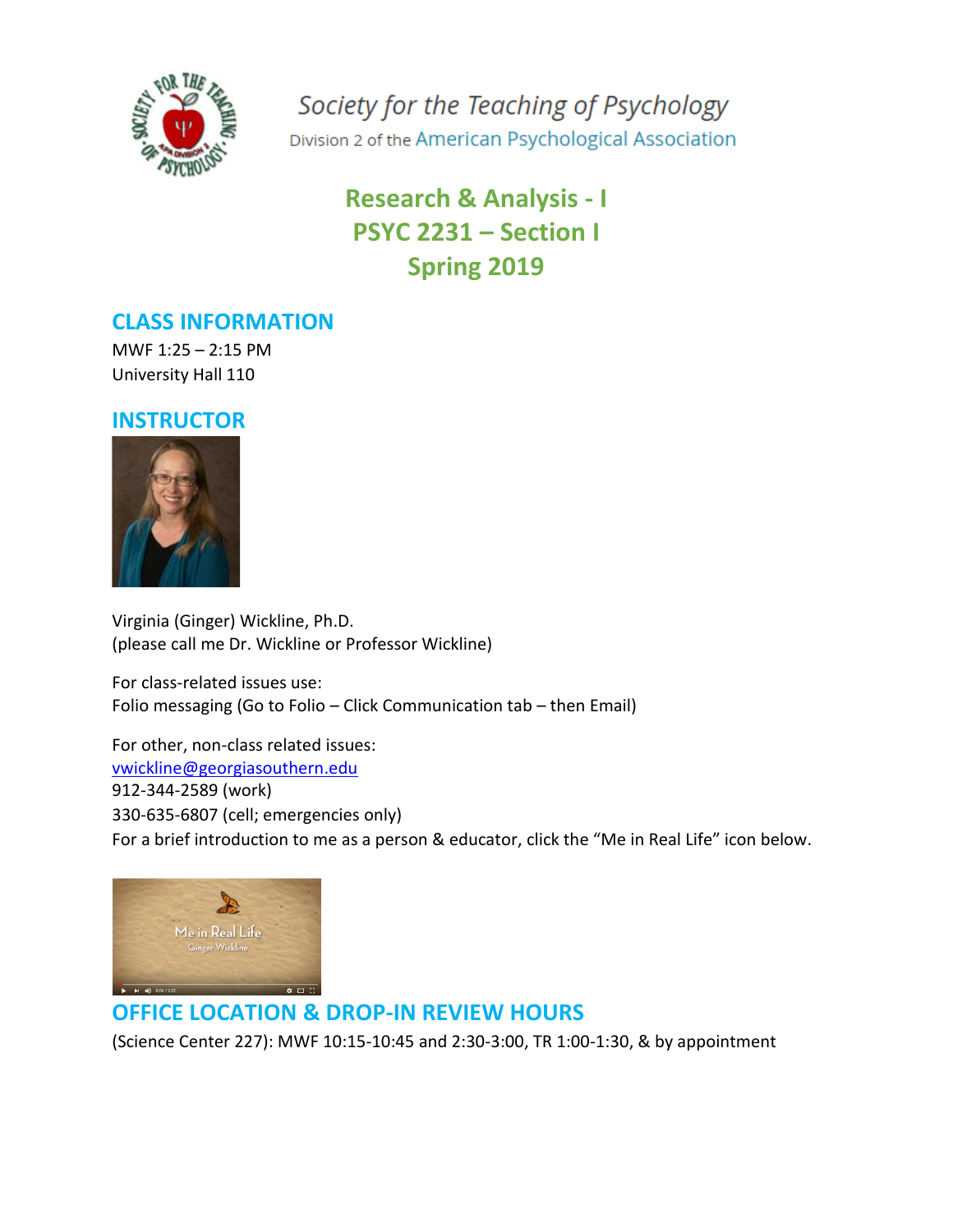

Society for the Teaching of Psychology Division 2 of the American Psychological Association

# **Research & Analysis - I PSYC 2231 – Section I Spring 2019**

## **CLASS INFORMATION**

MWF 1:25 – 2:15 PM University Hall 110

## **INSTRUCTOR**



Virginia (Ginger) Wickline, Ph.D. (please call me Dr. Wickline or Professor Wickline)

For class-related issues use: Folio messaging (Go to Folio – Click Communication tab – then Email)

For other, non-class related issues: [vwickline@georgiasouthern.edu](mailto:vwickline@georgiasouthern.edu) 912-344-2589 (work) 330-635-6807 (cell; emergencies only) For a brief introduction to me as a person & educator, click the "Me in Real Life" icon below.



## **OFFICE LOCATION & DROP-IN REVIEW HOURS**

(Science Center 227): MWF 10:15-10:45 and 2:30-3:00, TR 1:00-1:30, & by appointment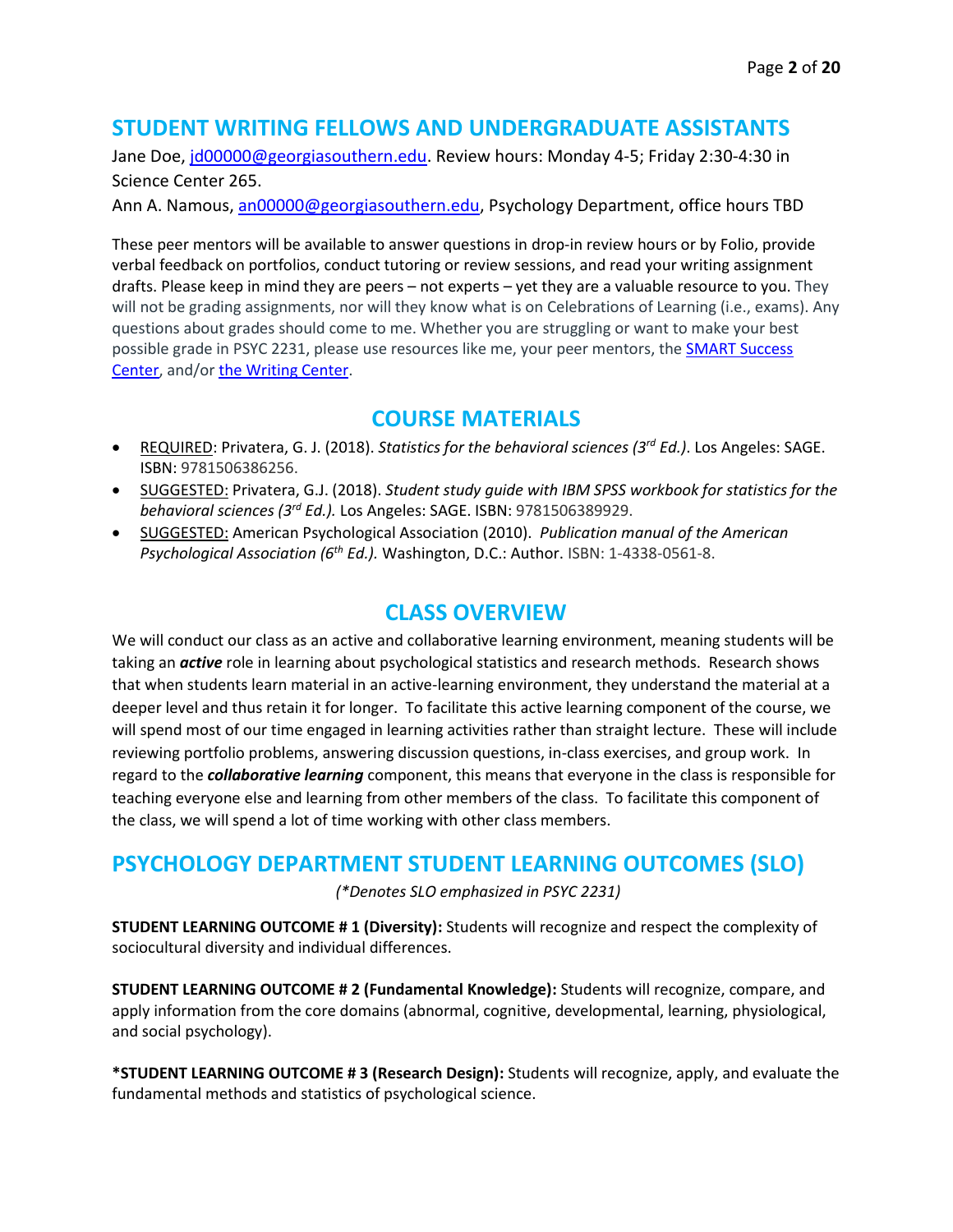## **STUDENT WRITING FELLOWS AND UNDERGRADUATE ASSISTANTS**

Jane Doe, [jd00000@georgiasouthern.edu.](mailto:jd00000@georgiasouthern.edu) Review hours: Monday 4-5; Friday 2:30-4:30 in Science Center 265.

Ann A. Namous, [an00000@georgiasouthern.edu,](mailto:an00000@georgiasouthern.edu) Psychology Department, office hours TBD

These peer mentors will be available to answer questions in drop-in review hours or by Folio, provide verbal feedback on portfolios, conduct tutoring or review sessions, and read your writing assignment drafts. Please keep in mind they are peers – not experts – yet they are a valuable resource to you. They will not be grading assignments, nor will they know what is on Celebrations of Learning (i.e., exams). Any questions about grades should come to me. Whether you are struggling or want to make your best possible grade in PSYC 2231, please use resources like me, your peer mentors, the SMART Success [Center,](http://academics.georgiasouthern.edu/success/tutoring/) and/o[r the Writing Center.](http://academics.georgiasouthern.edu/success/tutoring/)

## **COURSE MATERIALS**

- REQUIRED: Privatera, G. J. (2018). *Statistics for the behavioral sciences (3rd Ed.)*. Los Angeles: SAGE. ISBN: 9781506386256.
- SUGGESTED: Privatera, G.J. (2018). *Student study guide with IBM SPSS workbook for statistics for the behavioral sciences (3rd Ed.).* Los Angeles: SAGE. ISBN: 9781506389929.
- SUGGESTED: American Psychological Association (2010). *Publication manual of the American Psychological Association (6th Ed.).* Washington, D.C.: Author. ISBN: 1-4338-0561-8.

### **CLASS OVERVIEW**

We will conduct our class as an active and collaborative learning environment, meaning students will be taking an *active* role in learning about psychological statistics and research methods. Research shows that when students learn material in an active-learning environment, they understand the material at a deeper level and thus retain it for longer. To facilitate this active learning component of the course, we will spend most of our time engaged in learning activities rather than straight lecture. These will include reviewing portfolio problems, answering discussion questions, in-class exercises, and group work. In regard to the *collaborative learning* component, this means that everyone in the class is responsible for teaching everyone else and learning from other members of the class. To facilitate this component of the class, we will spend a lot of time working with other class members.

## **PSYCHOLOGY DEPARTMENT STUDENT LEARNING OUTCOMES (SLO)**

*(\*Denotes SLO emphasized in PSYC 2231)*

**STUDENT LEARNING OUTCOME # 1 (Diversity):** Students will recognize and respect the complexity of sociocultural diversity and individual differences.

**STUDENT LEARNING OUTCOME # 2 (Fundamental Knowledge):** Students will recognize, compare, and apply information from the core domains (abnormal, cognitive, developmental, learning, physiological, and social psychology).

**\*STUDENT LEARNING OUTCOME # 3 (Research Design):** Students will recognize, apply, and evaluate the fundamental methods and statistics of psychological science.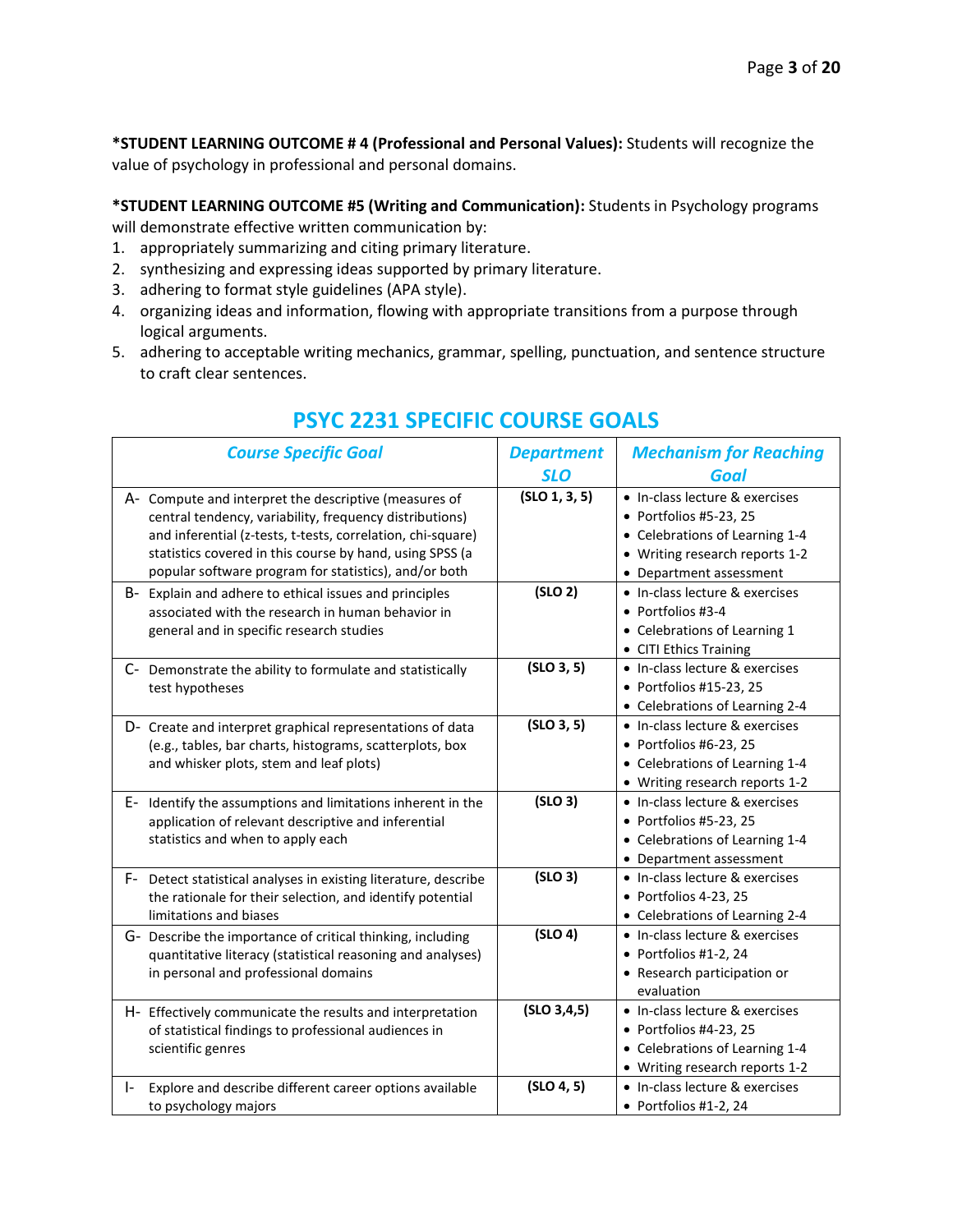**\*STUDENT LEARNING OUTCOME # 4 (Professional and Personal Values):** Students will recognize the value of psychology in professional and personal domains.

**\*STUDENT LEARNING OUTCOME #5 (Writing and Communication):** Students in Psychology programs will demonstrate effective written communication by:

- 1. appropriately summarizing and citing primary literature.
- 2. synthesizing and expressing ideas supported by primary literature.
- 3. adhering to format style guidelines (APA style).
- 4. organizing ideas and information, flowing with appropriate transitions from a purpose through logical arguments.
- 5. adhering to acceptable writing mechanics, grammar, spelling, punctuation, and sentence structure to craft clear sentences.

| <b>Course Specific Goal</b>                                                                                                                                                                                                                                                                          | <b>Department</b><br><b>SLO</b> | <b>Mechanism for Reaching</b><br>Goal                                                                                                                   |
|------------------------------------------------------------------------------------------------------------------------------------------------------------------------------------------------------------------------------------------------------------------------------------------------------|---------------------------------|---------------------------------------------------------------------------------------------------------------------------------------------------------|
| A- Compute and interpret the descriptive (measures of<br>central tendency, variability, frequency distributions)<br>and inferential (z-tests, t-tests, correlation, chi-square)<br>statistics covered in this course by hand, using SPSS (a<br>popular software program for statistics), and/or both | (SLO 1, 3, 5)                   | • In-class lecture & exercises<br>• Portfolios #5-23, 25<br>• Celebrations of Learning 1-4<br>• Writing research reports 1-2<br>• Department assessment |
| B- Explain and adhere to ethical issues and principles<br>associated with the research in human behavior in<br>general and in specific research studies                                                                                                                                              | (SLO 2)                         | • In-class lecture & exercises<br>$\bullet$ Portfolios #3-4<br>• Celebrations of Learning 1<br>• CITI Ethics Training                                   |
| C- Demonstrate the ability to formulate and statistically<br>test hypotheses                                                                                                                                                                                                                         | (SLO 3, 5)                      | • In-class lecture & exercises<br>• Portfolios #15-23, 25<br>• Celebrations of Learning 2-4                                                             |
| D- Create and interpret graphical representations of data<br>(e.g., tables, bar charts, histograms, scatterplots, box<br>and whisker plots, stem and leaf plots)                                                                                                                                     | (SLO 3, 5)                      | • In-class lecture & exercises<br>$\bullet$ Portfolios #6-23, 25<br>• Celebrations of Learning 1-4<br>• Writing research reports 1-2                    |
| E- Identify the assumptions and limitations inherent in the<br>application of relevant descriptive and inferential<br>statistics and when to apply each                                                                                                                                              | (SLO 3)                         | • In-class lecture & exercises<br>• Portfolios #5-23, 25<br>• Celebrations of Learning 1-4<br>• Department assessment                                   |
| F- Detect statistical analyses in existing literature, describe<br>the rationale for their selection, and identify potential<br>limitations and biases                                                                                                                                               | (SLO 3)                         | • In-class lecture & exercises<br>• Portfolios 4-23, 25<br>• Celebrations of Learning 2-4                                                               |
| G- Describe the importance of critical thinking, including<br>quantitative literacy (statistical reasoning and analyses)<br>in personal and professional domains                                                                                                                                     | (SLO 4)                         | • In-class lecture & exercises<br>• Portfolios #1-2, 24<br>• Research participation or<br>evaluation                                                    |
| H- Effectively communicate the results and interpretation<br>of statistical findings to professional audiences in<br>scientific genres                                                                                                                                                               | (SLO 3, 4, 5)                   | • In-class lecture & exercises<br>$\bullet$ Portfolios #4-23, 25<br>• Celebrations of Learning 1-4<br>• Writing research reports 1-2                    |
| Explore and describe different career options available<br>$\mathsf{I}$<br>to psychology majors                                                                                                                                                                                                      | (SLO 4, 5)                      | • In-class lecture & exercises<br>• Portfolios #1-2, 24                                                                                                 |

## **PSYC 2231 SPECIFIC COURSE GOALS**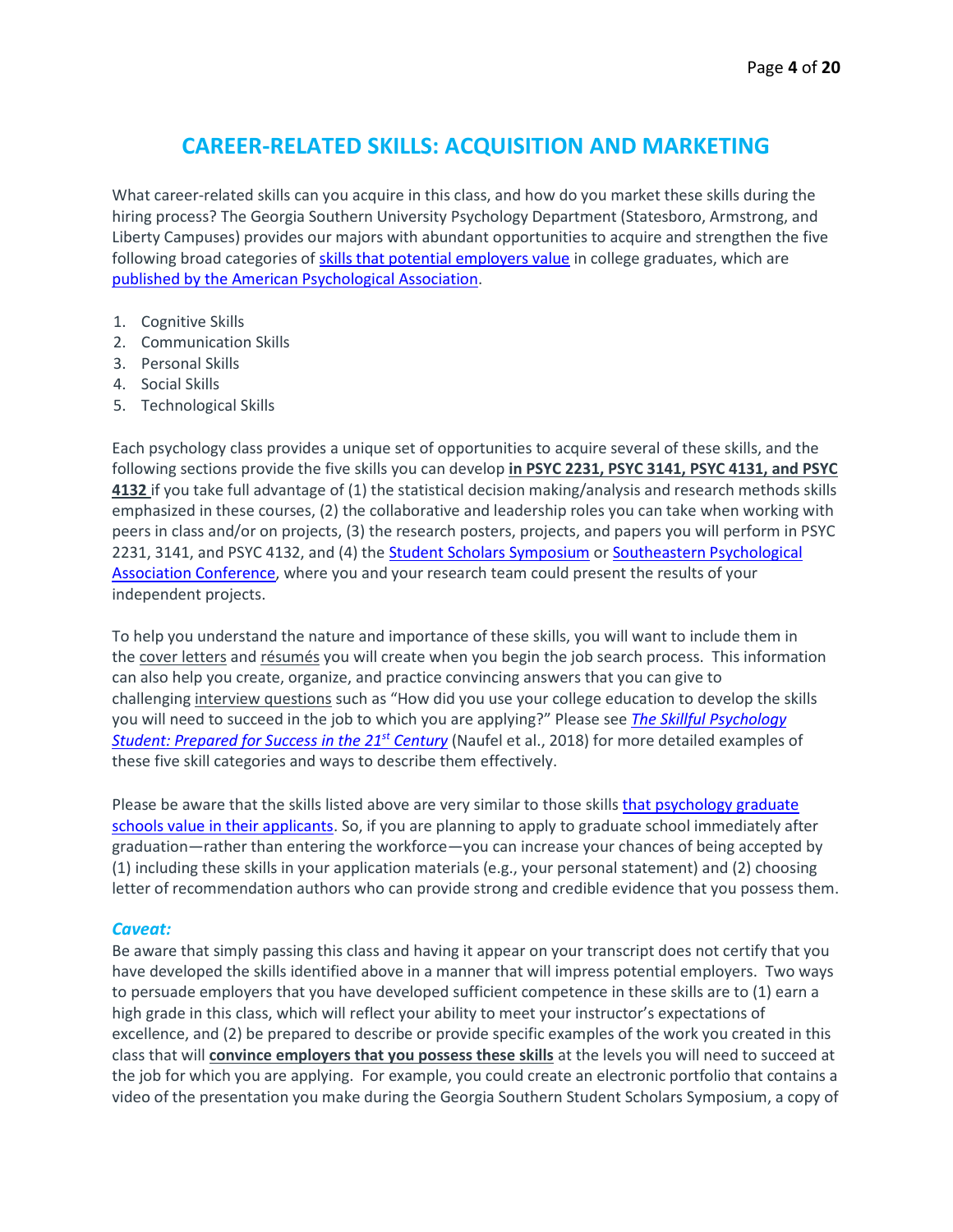## **CAREER-RELATED SKILLS: ACQUISITION AND MARKETING**

What career-related skills can you acquire in this class, and how do you market these skills during the hiring process? The Georgia Southern University Psychology Department (Statesboro, Armstrong, and Liberty Campuses) provides our majors with abundant opportunities to acquire and strengthen the five following broad categories of [skills that potential employers value](http://psychlearningcurve.org/career-skills/) in college graduates, which are [published by the American Psychological Association.](https://www.apa.org/careers/resources/guides/transferable-skills.pdf)

- 1. Cognitive Skills
- 2. Communication Skills
- 3. Personal Skills
- 4. Social Skills
- 5. Technological Skills

Each psychology class provides a unique set of opportunities to acquire several of these skills, and the following sections provide the five skills you can develop **in PSYC 2231, PSYC 3141, PSYC 4131, and PSYC 4132** if you take full advantage of (1) the statistical decision making/analysis and research methods skills emphasized in these courses, (2) the collaborative and leadership roles you can take when working with peers in class and/or on projects, (3) the research posters, projects, and papers you will perform in PSYC 2231, 3141, and PSYC 4132, and (4) the [Student Scholars Symposium](https://research.georgiasouthern.edu/symposium/student-scholars-symposium-armstrong-campus/) o[r Southeastern Psychological](http://www.sepaonline.com/cepo-about.html)  [Association Conference,](http://www.sepaonline.com/cepo-about.html) where you and your research team could present the results of your independent projects.

To help you understand the nature and importance of these skills, you will want to include them in the cover letters and résumés you will create when you begin the job search process. This information can also help you create, organize, and practice convincing answers that you can give to challenging interview questions such as "How did you use your college education to develop the skills you will need to succeed in the job to which you are applying?" Please see *[The Skillful Psychology](https://www.apa.org/careers/resources/guides/transferable-skills.pdf)  [Student: Prepared for Success in the 21](https://www.apa.org/careers/resources/guides/transferable-skills.pdf)st Century* (Naufel et al., 2018) for more detailed examples of these five skill categories and ways to describe them effectively.

Please be aware that the skills listed above are very similar to those skills that psychology graduate [schools value in their applicants.](https://www.psichi.org/page/033EyeSpr99fAppleby?&hhsearchterms=applicant+and+characteristics+and+valued+and+by+and+graduate#.W2kGgyhKg2w) So, if you are planning to apply to graduate school immediately after graduation—rather than entering the workforce—you can increase your chances of being accepted by (1) including these skills in your application materials (e.g., your personal statement) and (2) choosing letter of recommendation authors who can provide strong and credible evidence that you possess them.

#### *Caveat:*

Be aware that simply passing this class and having it appear on your transcript does not certify that you have developed the skills identified above in a manner that will impress potential employers. Two ways to persuade employers that you have developed sufficient competence in these skills are to (1) earn a high grade in this class, which will reflect your ability to meet your instructor's expectations of excellence, and (2) be prepared to describe or provide specific examples of the work you created in this class that will **convince employers that you possess these skills** at the levels you will need to succeed at the job for which you are applying. For example, you could create an electronic portfolio that contains a video of the presentation you make during the Georgia Southern Student Scholars Symposium, a copy of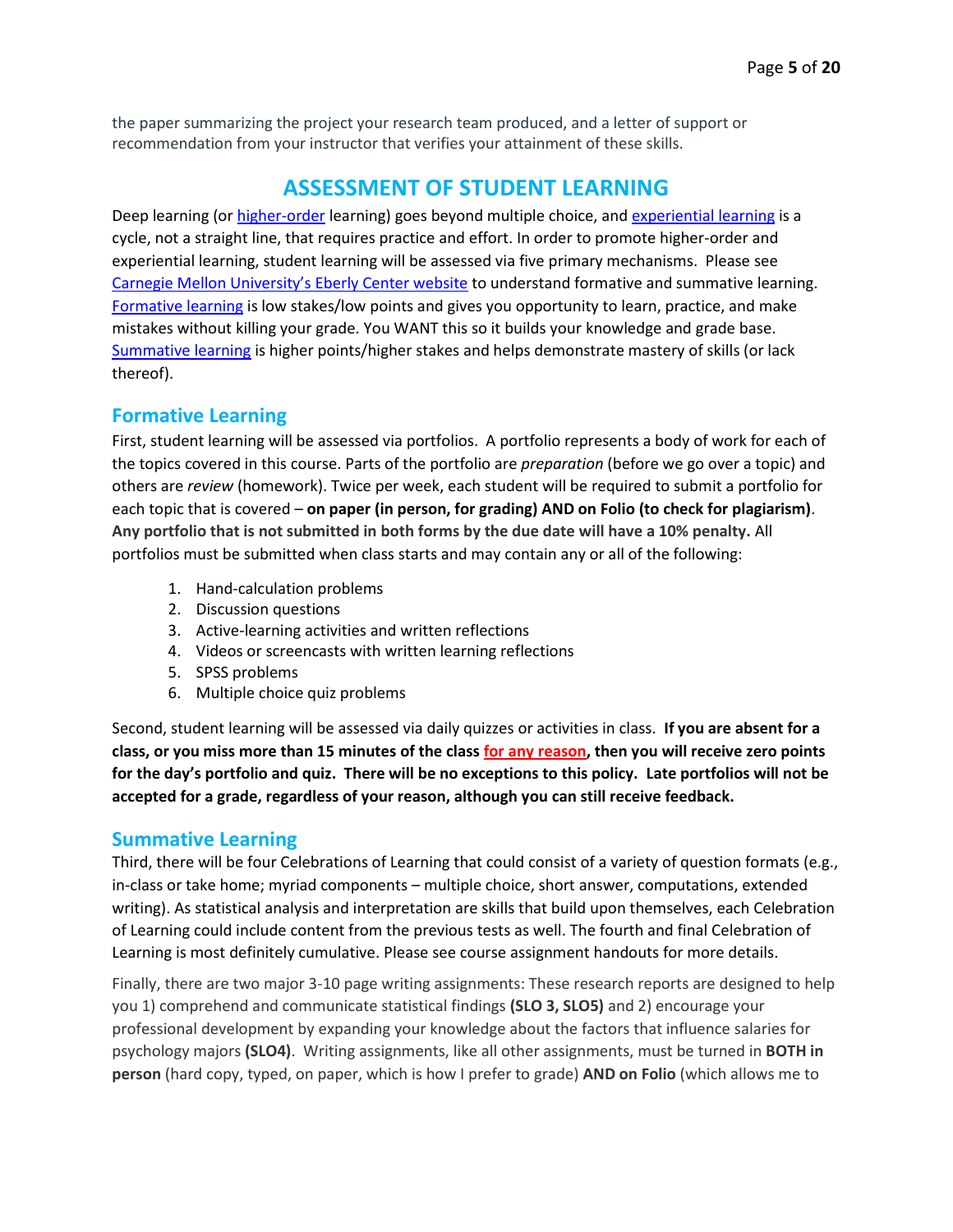the paper summarizing the project your research team produced, and a letter of support or recommendation from your instructor that verifies your attainment of these skills.

## **ASSESSMENT OF STUDENT LEARNING**

Deep learning (or [higher-order](http://www.celt.iastate.edu/teaching/effective-teaching-practices/revised-blooms-taxonomy) learning) goes beyond multiple choice, and [experiential learning](http://www2.le.ac.uk/departments/gradschool/training/eresources/teaching/theories/kolb) is a cycle, not a straight line, that requires practice and effort. In order to promote higher-order and experiential learning, student learning will be assessed via five primary mechanisms. Please see [Carnegie Mellon University's Eberly Center website](https://www.cmu.edu/teaching/assessment/basics/formative-summative.html) to understand formative and summative learning. [Formative learning](https://www.cmu.edu/teaching/assessment/basics/formative-summative.html) is low stakes/low points and gives you opportunity to learn, practice, and make mistakes without killing your grade. You WANT this so it builds your knowledge and grade base. [Summative learning](https://www.cmu.edu/teaching/assessment/basics/formative-summative.html) is higher points/higher stakes and helps demonstrate mastery of skills (or lack thereof).

### **Formative Learning**

First, student learning will be assessed via portfolios. A portfolio represents a body of work for each of the topics covered in this course. Parts of the portfolio are *preparation* (before we go over a topic) and others are *review* (homework). Twice per week, each student will be required to submit a portfolio for each topic that is covered – **on paper (in person, for grading) AND on Folio (to check for plagiarism)**. **Any portfolio that is not submitted in both forms by the due date will have a 10% penalty.** All portfolios must be submitted when class starts and may contain any or all of the following:

- 1. Hand-calculation problems
- 2. Discussion questions
- 3. Active-learning activities and written reflections
- 4. Videos or screencasts with written learning reflections
- 5. SPSS problems
- 6. Multiple choice quiz problems

Second, student learning will be assessed via daily quizzes or activities in class. **If you are absent for a class, or you miss more than 15 minutes of the class for any reason, then you will receive zero points for the day's portfolio and quiz. There will be no exceptions to this policy. Late portfolios will not be accepted for a grade, regardless of your reason, although you can still receive feedback.**

#### **Summative Learning**

Third, there will be four Celebrations of Learning that could consist of a variety of question formats (e.g., in-class or take home; myriad components – multiple choice, short answer, computations, extended writing). As statistical analysis and interpretation are skills that build upon themselves, each Celebration of Learning could include content from the previous tests as well. The fourth and final Celebration of Learning is most definitely cumulative. Please see course assignment handouts for more details.

Finally, there are two major 3-10 page writing assignments: These research reports are designed to help you 1) comprehend and communicate statistical findings **(SLO 3, SLO5)** and 2) encourage your professional development by expanding your knowledge about the factors that influence salaries for psychology majors **(SLO4)**. Writing assignments, like all other assignments, must be turned in **BOTH in person** (hard copy, typed, on paper, which is how I prefer to grade) **AND on Folio** (which allows me to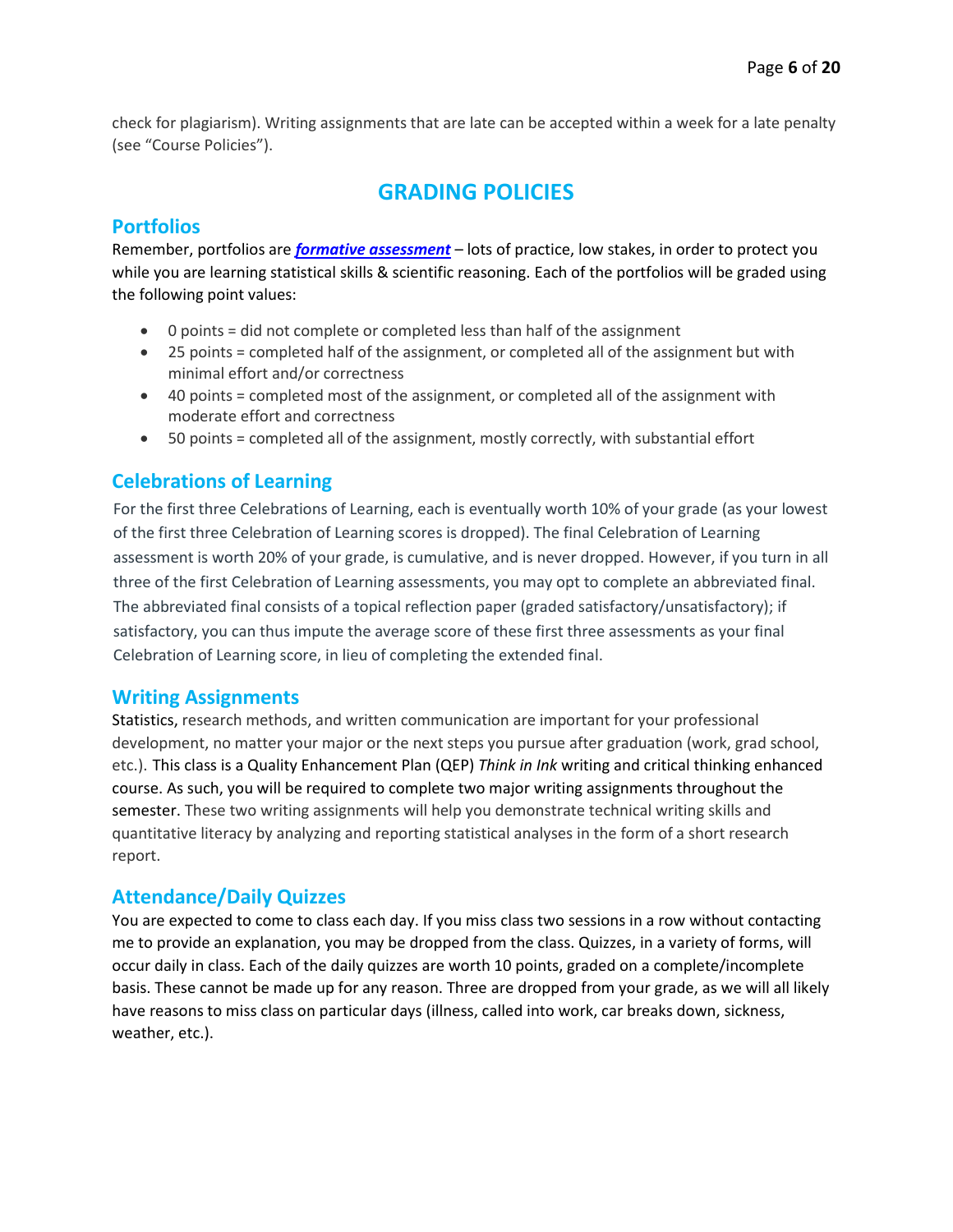check for plagiarism). Writing assignments that are late can be accepted within a week for a late penalty (see "Course Policies").

## **GRADING POLICIES**

#### **Portfolios**

Remember, portfolios are *[formative assessment](https://www.cmu.edu/teaching/assessment/basics/formative-summative.html)* – lots of practice, low stakes, in order to protect you while you are learning statistical skills & scientific reasoning. Each of the portfolios will be graded using the following point values:

- 0 points = did not complete or completed less than half of the assignment
- 25 points = completed half of the assignment, or completed all of the assignment but with minimal effort and/or correctness
- 40 points = completed most of the assignment, or completed all of the assignment with moderate effort and correctness
- 50 points = completed all of the assignment, mostly correctly, with substantial effort

### **Celebrations of Learning**

For the first three Celebrations of Learning, each is eventually worth 10% of your grade (as your lowest of the first three Celebration of Learning scores is dropped). The final Celebration of Learning assessment is worth 20% of your grade, is cumulative, and is never dropped. However, if you turn in all three of the first Celebration of Learning assessments, you may opt to complete an abbreviated final. The abbreviated final consists of a topical reflection paper (graded satisfactory/unsatisfactory); if satisfactory, you can thus impute the average score of these first three assessments as your final Celebration of Learning score, in lieu of completing the extended final.

#### **Writing Assignments**

Statistics, research methods, and written communication are important for your professional development, no matter your major or the next steps you pursue after graduation (work, grad school, etc.). This class is a Quality Enhancement Plan (QEP) *Think in Ink* writing and critical thinking enhanced course. As such, you will be required to complete two major writing assignments throughout the semester. These two writing assignments will help you demonstrate technical writing skills and quantitative literacy by analyzing and reporting statistical analyses in the form of a short research report.

#### **Attendance/Daily Quizzes**

You are expected to come to class each day. If you miss class two sessions in a row without contacting me to provide an explanation, you may be dropped from the class. Quizzes, in a variety of forms, will occur daily in class. Each of the daily quizzes are worth 10 points, graded on a complete/incomplete basis. These cannot be made up for any reason. Three are dropped from your grade, as we will all likely have reasons to miss class on particular days (illness, called into work, car breaks down, sickness, weather, etc.).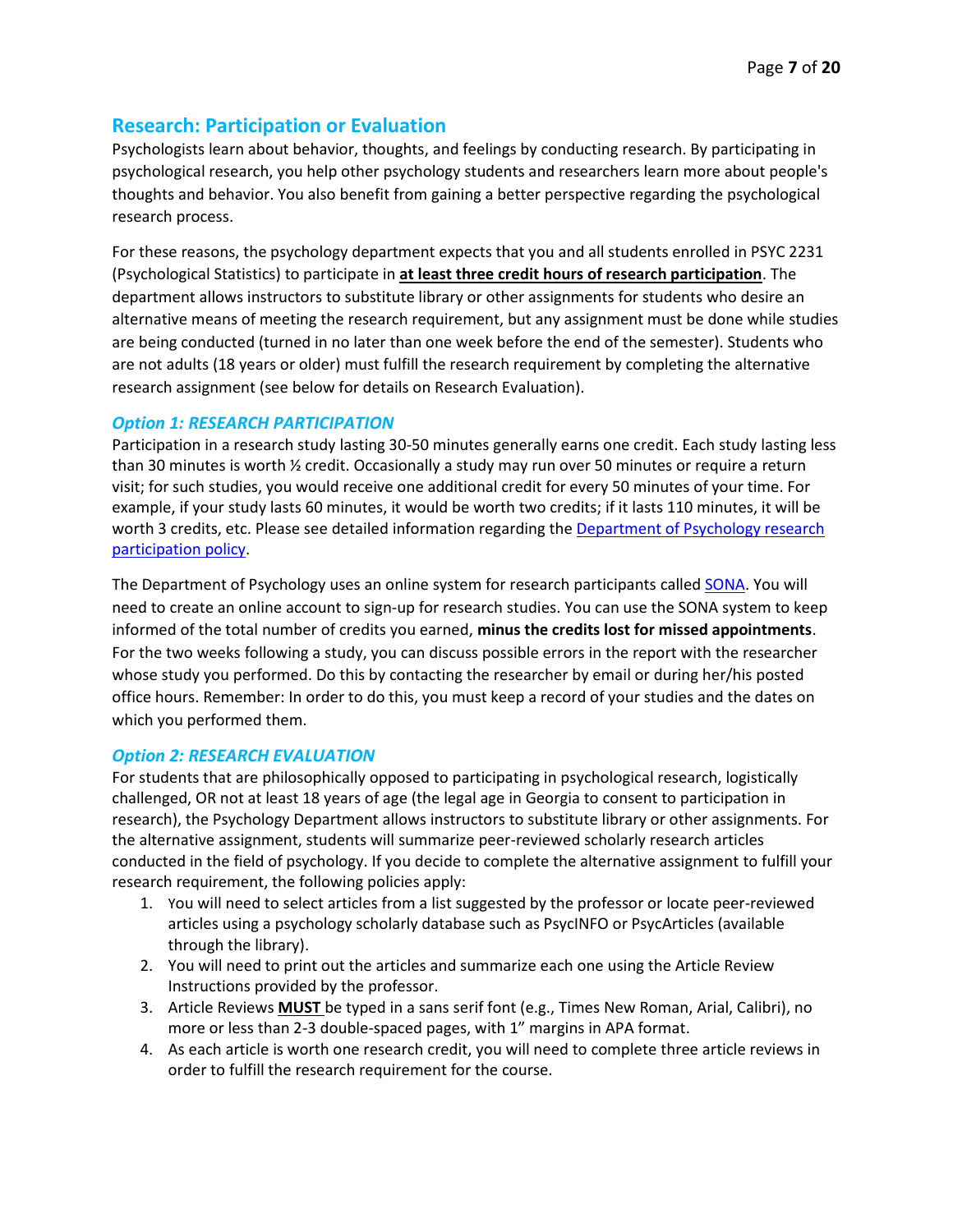### **Research: Participation or Evaluation**

Psychologists learn about behavior, thoughts, and feelings by conducting research. By participating in psychological research, you help other psychology students and researchers learn more about people's thoughts and behavior. You also benefit from gaining a better perspective regarding the psychological research process.

For these reasons, the psychology department expects that you and all students enrolled in PSYC 2231 (Psychological Statistics) to participate in **at least three credit hours of research participation**. The department allows instructors to substitute library or other assignments for students who desire an alternative means of meeting the research requirement, but any assignment must be done while studies are being conducted (turned in no later than one week before the end of the semester). Students who are not adults (18 years or older) must fulfill the research requirement by completing the alternative research assignment (see below for details on Research Evaluation).

#### *Option 1: RESEARCH PARTICIPATION*

Participation in a research study lasting 30-50 minutes generally earns one credit. Each study lasting less than 30 minutes is worth ½ credit. Occasionally a study may run over 50 minutes or require a return visit; for such studies, you would receive one additional credit for every 50 minutes of your time. For example, if your study lasts 60 minutes, it would be worth two credits; if it lasts 110 minutes, it will be worth 3 credits, etc. Please see detailed information regarding the Department of Psychology research [participation policy.](https://cbss.georgiasouthern.edu/psychology/research/policy/)

The Department of Psychology uses an online system for research participants called [SONA.](https://cbss.georgiasouthern.edu/psychology/research/sona/) You will need to create an online account to sign-up for research studies. You can use the SONA system to keep informed of the total number of credits you earned, **minus the credits lost for missed appointments**. For the two weeks following a study, you can discuss possible errors in the report with the researcher whose study you performed. Do this by contacting the researcher by email or during her/his posted office hours. Remember: In order to do this, you must keep a record of your studies and the dates on which you performed them.

#### *Option 2: RESEARCH EVALUATION*

For students that are philosophically opposed to participating in psychological research, logistically challenged, OR not at least 18 years of age (the legal age in Georgia to consent to participation in research), the Psychology Department allows instructors to substitute library or other assignments. For the alternative assignment, students will summarize peer-reviewed scholarly research articles conducted in the field of psychology. If you decide to complete the alternative assignment to fulfill your research requirement, the following policies apply:

- 1. You will need to select articles from a list suggested by the professor or locate peer-reviewed articles using a psychology scholarly database such as PsycINFO or PsycArticles (available through the library).
- 2. You will need to print out the articles and summarize each one using the Article Review Instructions provided by the professor.
- 3. Article Reviews **MUST** be typed in a sans serif font (e.g., Times New Roman, Arial, Calibri), no more or less than 2-3 double-spaced pages, with 1" margins in APA format.
- 4. As each article is worth one research credit, you will need to complete three article reviews in order to fulfill the research requirement for the course.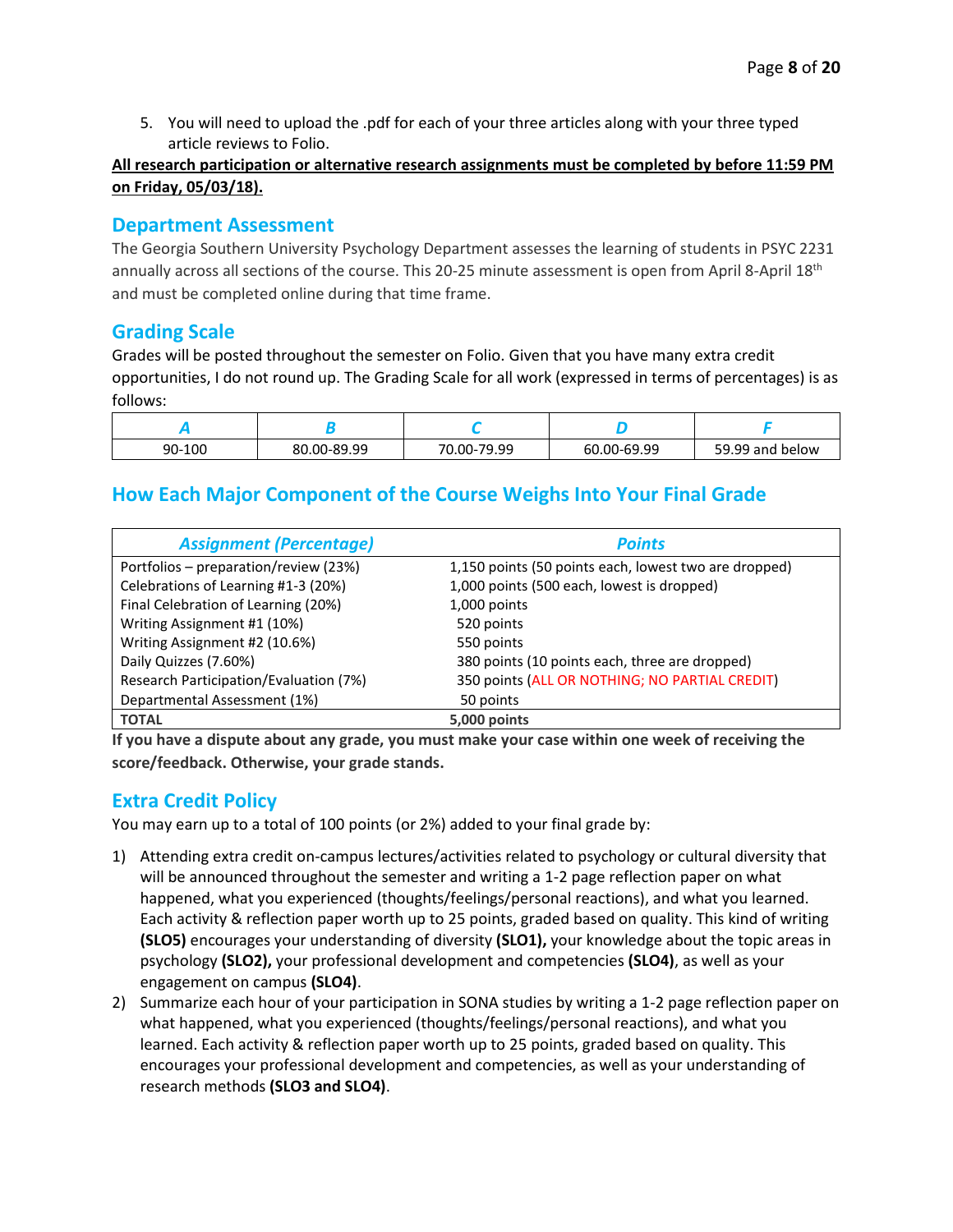5. You will need to upload the .pdf for each of your three articles along with your three typed article reviews to Folio.

#### **All research participation or alternative research assignments must be completed by before 11:59 PM on Friday, 05/03/18).**

#### **Department Assessment**

The Georgia Southern University Psychology Department assesses the learning of students in PSYC 2231 annually across all sections of the course. This 20-25 minute assessment is open from April 8-April 18th and must be completed online during that time frame.

### **Grading Scale**

Grades will be posted throughout the semester on Folio. Given that you have many extra credit opportunities, I do not round up. The Grading Scale for all work (expressed in terms of percentages) is as follows:

| 90-100 | 80.00-89.99 | $-79.99$<br>$70.00 -$ | 60.00-69.99 | 59<br>.99 and<br>. below |
|--------|-------------|-----------------------|-------------|--------------------------|

### **How Each Major Component of the Course Weighs Into Your Final Grade**

| <b>Assignment (Percentage)</b>         | <b>Points</b>                                         |
|----------------------------------------|-------------------------------------------------------|
| Portfolios - preparation/review (23%)  | 1,150 points (50 points each, lowest two are dropped) |
| Celebrations of Learning #1-3 (20%)    | 1,000 points (500 each, lowest is dropped)            |
| Final Celebration of Learning (20%)    | 1,000 points                                          |
| Writing Assignment #1 (10%)            | 520 points                                            |
| Writing Assignment #2 (10.6%)          | 550 points                                            |
| Daily Quizzes (7.60%)                  | 380 points (10 points each, three are dropped)        |
| Research Participation/Evaluation (7%) | 350 points (ALL OR NOTHING; NO PARTIAL CREDIT)        |
| Departmental Assessment (1%)           | 50 points                                             |
| <b>TOTAL</b>                           | 5,000 points                                          |

**If you have a dispute about any grade, you must make your case within one week of receiving the score/feedback. Otherwise, your grade stands.**

#### **Extra Credit Policy**

You may earn up to a total of 100 points (or 2%) added to your final grade by:

- 1) Attending extra credit on-campus lectures/activities related to psychology or cultural diversity that will be announced throughout the semester and writing a 1-2 page reflection paper on what happened, what you experienced (thoughts/feelings/personal reactions), and what you learned. Each activity & reflection paper worth up to 25 points, graded based on quality. This kind of writing **(SLO5)** encourages your understanding of diversity **(SLO1),** your knowledge about the topic areas in psychology **(SLO2),** your professional development and competencies **(SLO4)**, as well as your engagement on campus **(SLO4)**.
- 2) Summarize each hour of your participation in SONA studies by writing a 1-2 page reflection paper on what happened, what you experienced (thoughts/feelings/personal reactions), and what you learned. Each activity & reflection paper worth up to 25 points, graded based on quality. This encourages your professional development and competencies, as well as your understanding of research methods **(SLO3 and SLO4)**.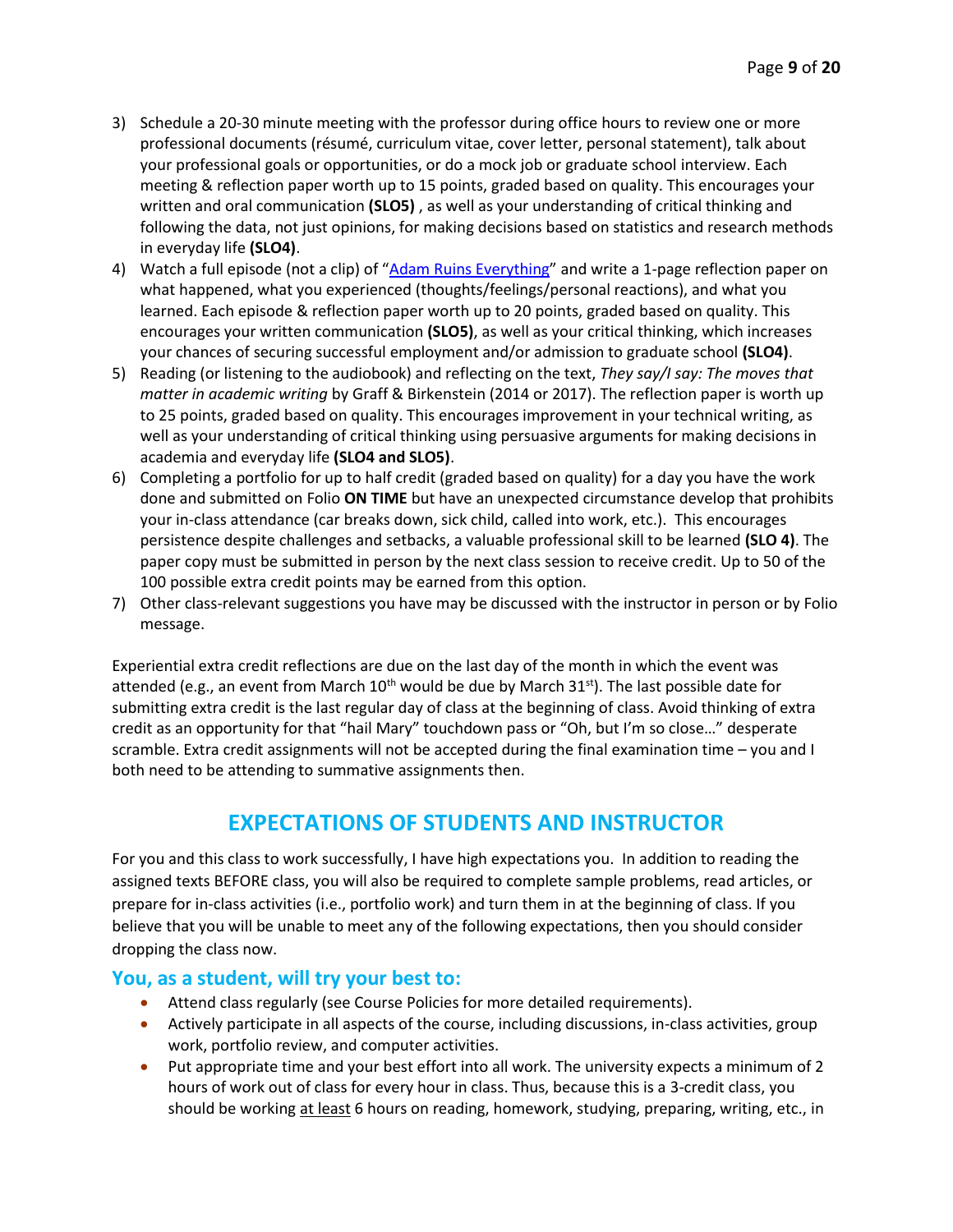- 3) Schedule a 20-30 minute meeting with the professor during office hours to review one or more professional documents (résumé, curriculum vitae, cover letter, personal statement), talk about your professional goals or opportunities, or do a mock job or graduate school interview. Each meeting & reflection paper worth up to 15 points, graded based on quality. This encourages your written and oral communication **(SLO5)** , as well as your understanding of critical thinking and following the data, not just opinions, for making decisions based on statistics and research methods in everyday life **(SLO4)**.
- 4) Watch a full episode (not a clip) of "[Adam Ruins Everything](https://www.trutv.com/shows/adam-ruins-everything/index.html)" and write a 1-page reflection paper on what happened, what you experienced (thoughts/feelings/personal reactions), and what you learned. Each episode & reflection paper worth up to 20 points, graded based on quality. This encourages your written communication **(SLO5)**, as well as your critical thinking, which increases your chances of securing successful employment and/or admission to graduate school **(SLO4)**.
- 5) Reading (or listening to the audiobook) and reflecting on the text, *They say/I say: The moves that matter in academic writing* by Graff & Birkenstein (2014 or 2017). The reflection paper is worth up to 25 points, graded based on quality. This encourages improvement in your technical writing, as well as your understanding of critical thinking using persuasive arguments for making decisions in academia and everyday life **(SLO4 and SLO5)**.
- 6) Completing a portfolio for up to half credit (graded based on quality) for a day you have the work done and submitted on Folio **ON TIME** but have an unexpected circumstance develop that prohibits your in-class attendance (car breaks down, sick child, called into work, etc.). This encourages persistence despite challenges and setbacks, a valuable professional skill to be learned **(SLO 4)**. The paper copy must be submitted in person by the next class session to receive credit. Up to 50 of the 100 possible extra credit points may be earned from this option.
- 7) Other class-relevant suggestions you have may be discussed with the instructor in person or by Folio message.

Experiential extra credit reflections are due on the last day of the month in which the event was attended (e.g., an event from March  $10^{th}$  would be due by March  $31^{st}$ ). The last possible date for submitting extra credit is the last regular day of class at the beginning of class. Avoid thinking of extra credit as an opportunity for that "hail Mary" touchdown pass or "Oh, but I'm so close…" desperate scramble. Extra credit assignments will not be accepted during the final examination time – you and I both need to be attending to summative assignments then.

## **EXPECTATIONS OF STUDENTS AND INSTRUCTOR**

For you and this class to work successfully, I have high expectations you. In addition to reading the assigned texts BEFORE class, you will also be required to complete sample problems, read articles, or prepare for in-class activities (i.e., portfolio work) and turn them in at the beginning of class. If you believe that you will be unable to meet any of the following expectations, then you should consider dropping the class now.

#### **You, as a student, will try your best to:**

- Attend class regularly (see Course Policies for more detailed requirements).
- Actively participate in all aspects of the course, including discussions, in-class activities, group work, portfolio review, and computer activities.
- Put appropriate time and your best effort into all work. The university expects a minimum of 2 hours of work out of class for every hour in class. Thus, because this is a 3-credit class, you should be working at least 6 hours on reading, homework, studying, preparing, writing, etc., in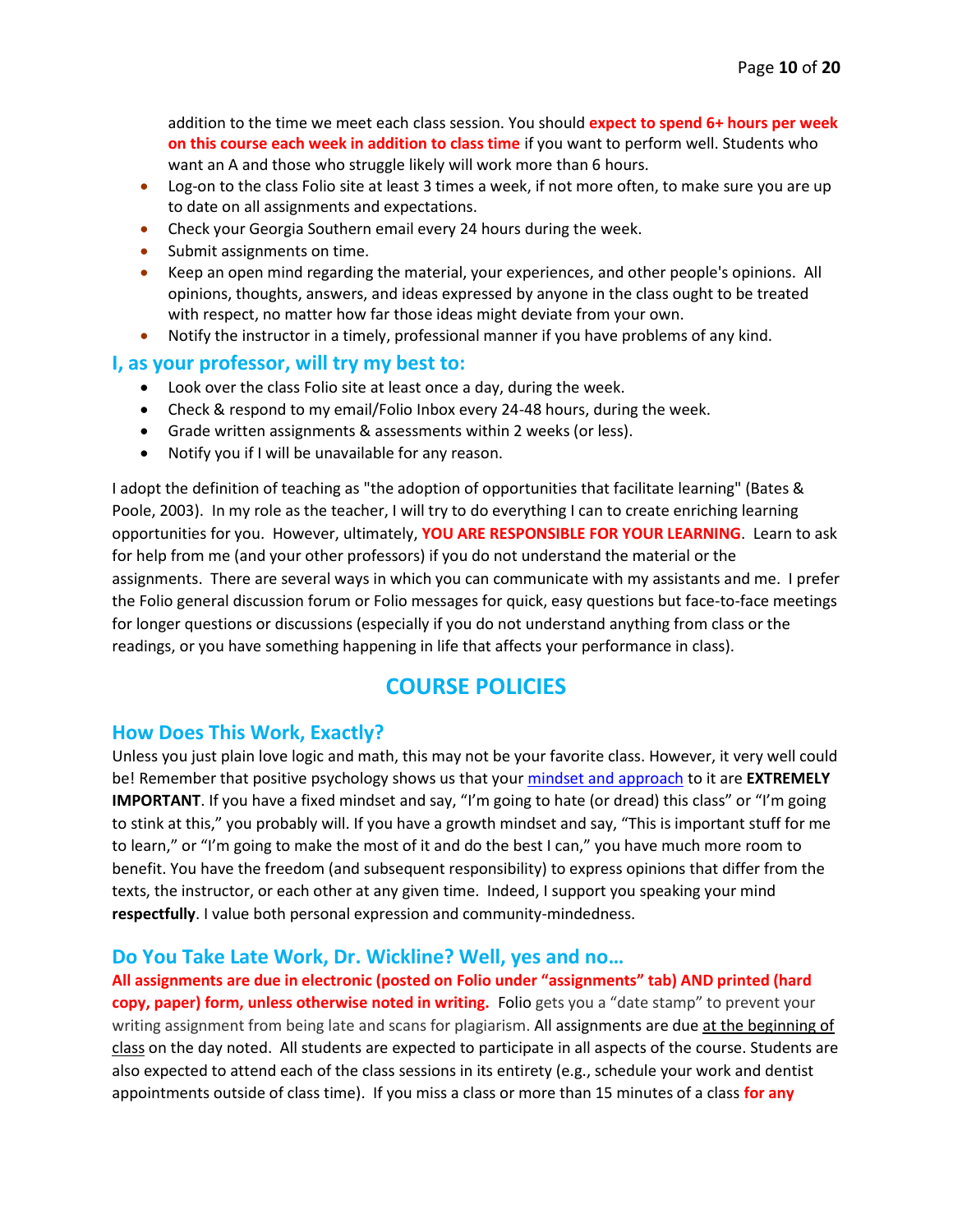addition to the time we meet each class session. You should **expect to spend 6+ hours per week on this course each week in addition to class time** if you want to perform well. Students who want an A and those who struggle likely will work more than 6 hours.

- Log-on to the class Folio site at least 3 times a week, if not more often, to make sure you are up to date on all assignments and expectations.
- Check your Georgia Southern email every 24 hours during the week.
- Submit assignments on time.
- Keep an open mind regarding the material, your experiences, and other people's opinions. All opinions, thoughts, answers, and ideas expressed by anyone in the class ought to be treated with respect, no matter how far those ideas might deviate from your own.
- Notify the instructor in a timely, professional manner if you have problems of any kind.

#### **I, as your professor, will try my best to:**

- Look over the class Folio site at least once a day, during the week.
- Check & respond to my email/Folio Inbox every 24-48 hours, during the week.
- Grade written assignments & assessments within 2 weeks (or less).
- Notify you if I will be unavailable for any reason.

I adopt the definition of teaching as "the adoption of opportunities that facilitate learning" (Bates & Poole, 2003). In my role as the teacher, I will try to do everything I can to create enriching learning opportunities for you. However, ultimately, **YOU ARE RESPONSIBLE FOR YOUR LEARNING**. Learn to ask for help from me (and your other professors) if you do not understand the material or the assignments. There are several ways in which you can communicate with my assistants and me. I prefer the Folio general discussion forum or Folio messages for quick, easy questions but face-to-face meetings for longer questions or discussions (especially if you do not understand anything from class or the readings, or you have something happening in life that affects your performance in class).

## **COURSE POLICIES**

#### **How Does This Work, Exactly?**

Unless you just plain love logic and math, this may not be your favorite class. However, it very well could be! Remember that positive psychology shows us that your [mindset and approach](https://www.ted.com/talks/carol_dweck_the_power_of_believing_that_you_can_improve) to it are **EXTREMELY IMPORTANT**. If you have a fixed mindset and say, "I'm going to hate (or dread) this class" or "I'm going to stink at this," you probably will. If you have a growth mindset and say, "This is important stuff for me to learn," or "I'm going to make the most of it and do the best I can," you have much more room to benefit. You have the freedom (and subsequent responsibility) to express opinions that differ from the texts, the instructor, or each other at any given time. Indeed, I support you speaking your mind **respectfully**. I value both personal expression and community-mindedness.

#### **Do You Take Late Work, Dr. Wickline? Well, yes and no…**

**All assignments are due in electronic (posted on Folio under "assignments" tab) AND printed (hard copy, paper) form, unless otherwise noted in writing.** Folio gets you a "date stamp" to prevent your writing assignment from being late and scans for plagiarism. All assignments are due at the beginning of class on the day noted. All students are expected to participate in all aspects of the course. Students are also expected to attend each of the class sessions in its entirety (e.g., schedule your work and dentist appointments outside of class time). If you miss a class or more than 15 minutes of a class **for any**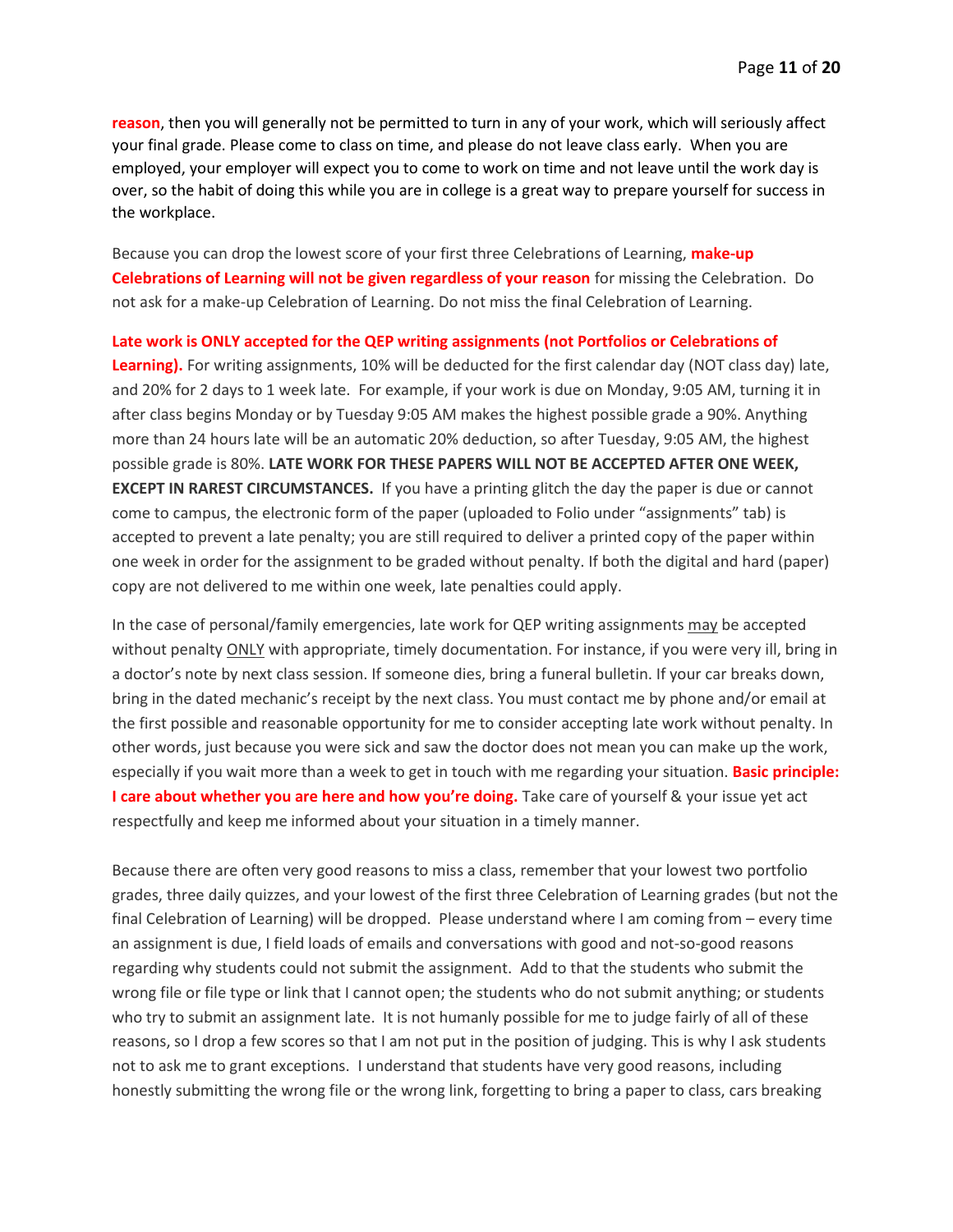**reason**, then you will generally not be permitted to turn in any of your work, which will seriously affect your final grade. Please come to class on time, and please do not leave class early. When you are employed, your employer will expect you to come to work on time and not leave until the work day is over, so the habit of doing this while you are in college is a great way to prepare yourself for success in the workplace.

Because you can drop the lowest score of your first three Celebrations of Learning, **make-up Celebrations of Learning will not be given regardless of your reason** for missing the Celebration. Do not ask for a make-up Celebration of Learning. Do not miss the final Celebration of Learning.

**Late work is ONLY accepted for the QEP writing assignments (not Portfolios or Celebrations of** 

**Learning).** For writing assignments, 10% will be deducted for the first calendar day (NOT class day) late, and 20% for 2 days to 1 week late. For example, if your work is due on Monday, 9:05 AM, turning it in after class begins Monday or by Tuesday 9:05 AM makes the highest possible grade a 90%. Anything more than 24 hours late will be an automatic 20% deduction, so after Tuesday, 9:05 AM, the highest possible grade is 80%. **LATE WORK FOR THESE PAPERS WILL NOT BE ACCEPTED AFTER ONE WEEK, EXCEPT IN RAREST CIRCUMSTANCES.** If you have a printing glitch the day the paper is due or cannot come to campus, the electronic form of the paper (uploaded to Folio under "assignments" tab) is accepted to prevent a late penalty; you are still required to deliver a printed copy of the paper within one week in order for the assignment to be graded without penalty. If both the digital and hard (paper) copy are not delivered to me within one week, late penalties could apply.

In the case of personal/family emergencies, late work for QEP writing assignments may be accepted without penalty **ONLY** with appropriate, timely documentation. For instance, if you were very ill, bring in a doctor's note by next class session. If someone dies, bring a funeral bulletin. If your car breaks down, bring in the dated mechanic's receipt by the next class. You must contact me by phone and/or email at the first possible and reasonable opportunity for me to consider accepting late work without penalty. In other words, just because you were sick and saw the doctor does not mean you can make up the work, especially if you wait more than a week to get in touch with me regarding your situation. **Basic principle: I care about whether you are here and how you're doing.** Take care of yourself & your issue yet act respectfully and keep me informed about your situation in a timely manner.

Because there are often very good reasons to miss a class, remember that your lowest two portfolio grades, three daily quizzes, and your lowest of the first three Celebration of Learning grades (but not the final Celebration of Learning) will be dropped. Please understand where I am coming from – every time an assignment is due, I field loads of emails and conversations with good and not-so-good reasons regarding why students could not submit the assignment. Add to that the students who submit the wrong file or file type or link that I cannot open; the students who do not submit anything; or students who try to submit an assignment late. It is not humanly possible for me to judge fairly of all of these reasons, so I drop a few scores so that I am not put in the position of judging. This is why I ask students not to ask me to grant exceptions. I understand that students have very good reasons, including honestly submitting the wrong file or the wrong link, forgetting to bring a paper to class, cars breaking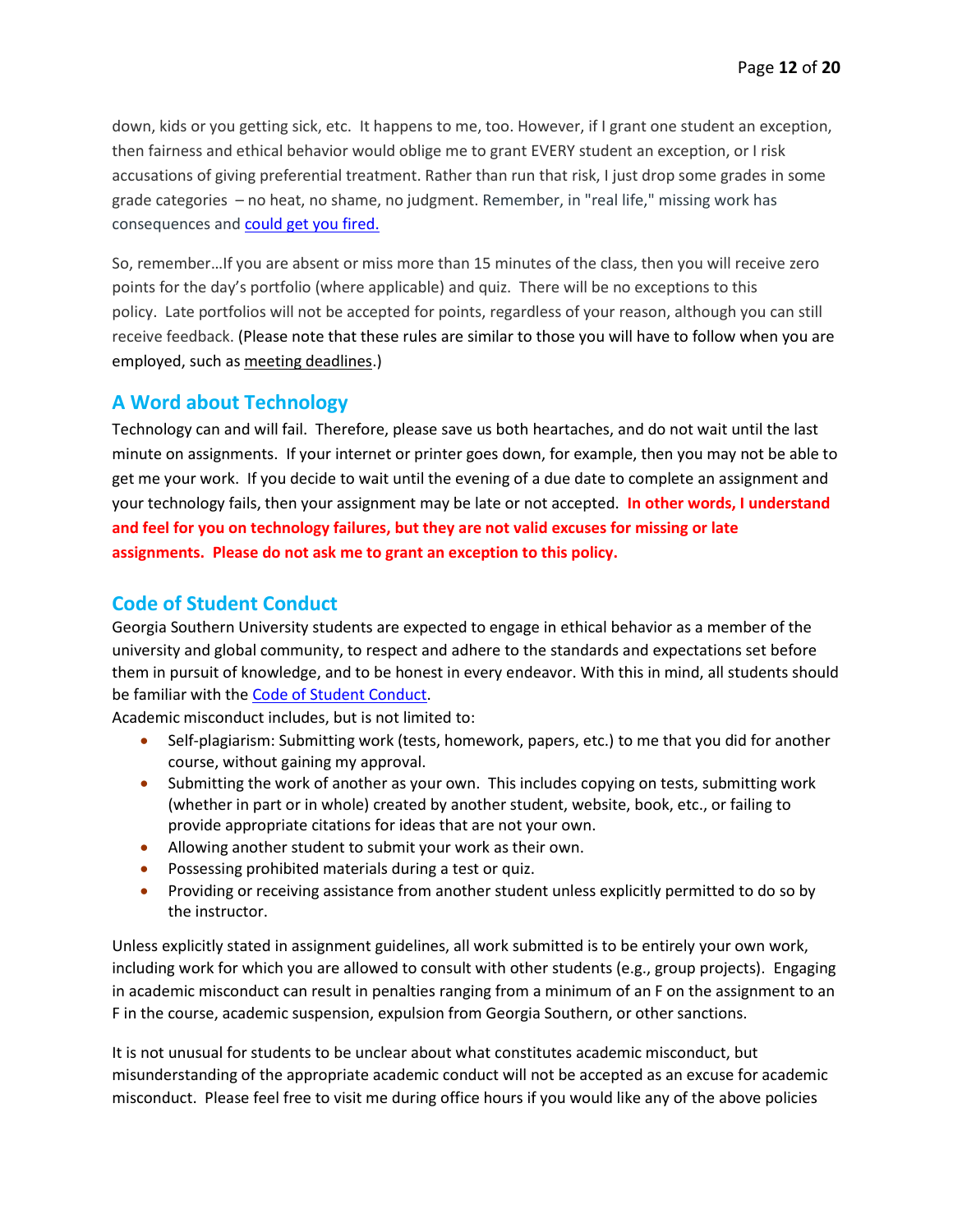down, kids or you getting sick, etc. It happens to me, too. However, if I grant one student an exception, then fairness and ethical behavior would oblige me to grant EVERY student an exception, or I risk accusations of giving preferential treatment. Rather than run that risk, I just drop some grades in some grade categories – no heat, no shame, no judgment. Remember, in "real life," missing work has consequences and could get you fired.

So, remember…If you are absent or miss more than 15 minutes of the class, then you will receive zero points for the day's portfolio (where applicable) and quiz. There will be no exceptions to this policy. Late portfolios will not be accepted for points, regardless of your reason, although you can still receive feedback. (Please note that these rules are similar to those you will have to follow when you are employed, such as meeting deadlines.)

### **A Word about Technology**

Technology can and will fail. Therefore, please save us both heartaches, and do not wait until the last minute on assignments. If your internet or printer goes down, for example, then you may not be able to get me your work. If you decide to wait until the evening of a due date to complete an assignment and your technology fails, then your assignment may be late or not accepted. **In other words, I understand and feel for you on technology failures, but they are not valid excuses for missing or late assignments. Please do not ask me to grant an exception to this policy.**

### **Code of Student Conduct**

Georgia Southern University students are expected to engage in ethical behavior as a member of the university and global community, to respect and adhere to the standards and expectations set before them in pursuit of knowledge, and to be honest in every endeavor. With this in mind, all students should be familiar with the [Code of Student Conduct.](http://students.georgiasouthern.edu/conduct/files/2018-2019-Code-of-Student-Conduct-FINAL-1.pdf)

Academic misconduct includes, but is not limited to:

- Self-plagiarism: Submitting work (tests, homework, papers, etc.) to me that you did for another course, without gaining my approval.
- Submitting the work of another as your own. This includes copying on tests, submitting work (whether in part or in whole) created by another student, website, book, etc., or failing to provide appropriate citations for ideas that are not your own.
- Allowing another student to submit your work as their own.
- Possessing prohibited materials during a test or quiz.
- Providing or receiving assistance from another student unless explicitly permitted to do so by the instructor.

Unless explicitly stated in assignment guidelines, all work submitted is to be entirely your own work, including work for which you are allowed to consult with other students (e.g., group projects). Engaging in academic misconduct can result in penalties ranging from a minimum of an F on the assignment to an F in the course, academic suspension, expulsion from Georgia Southern, or other sanctions.

It is not unusual for students to be unclear about what constitutes academic misconduct, but misunderstanding of the appropriate academic conduct will not be accepted as an excuse for academic misconduct. Please feel free to visit me during office hours if you would like any of the above policies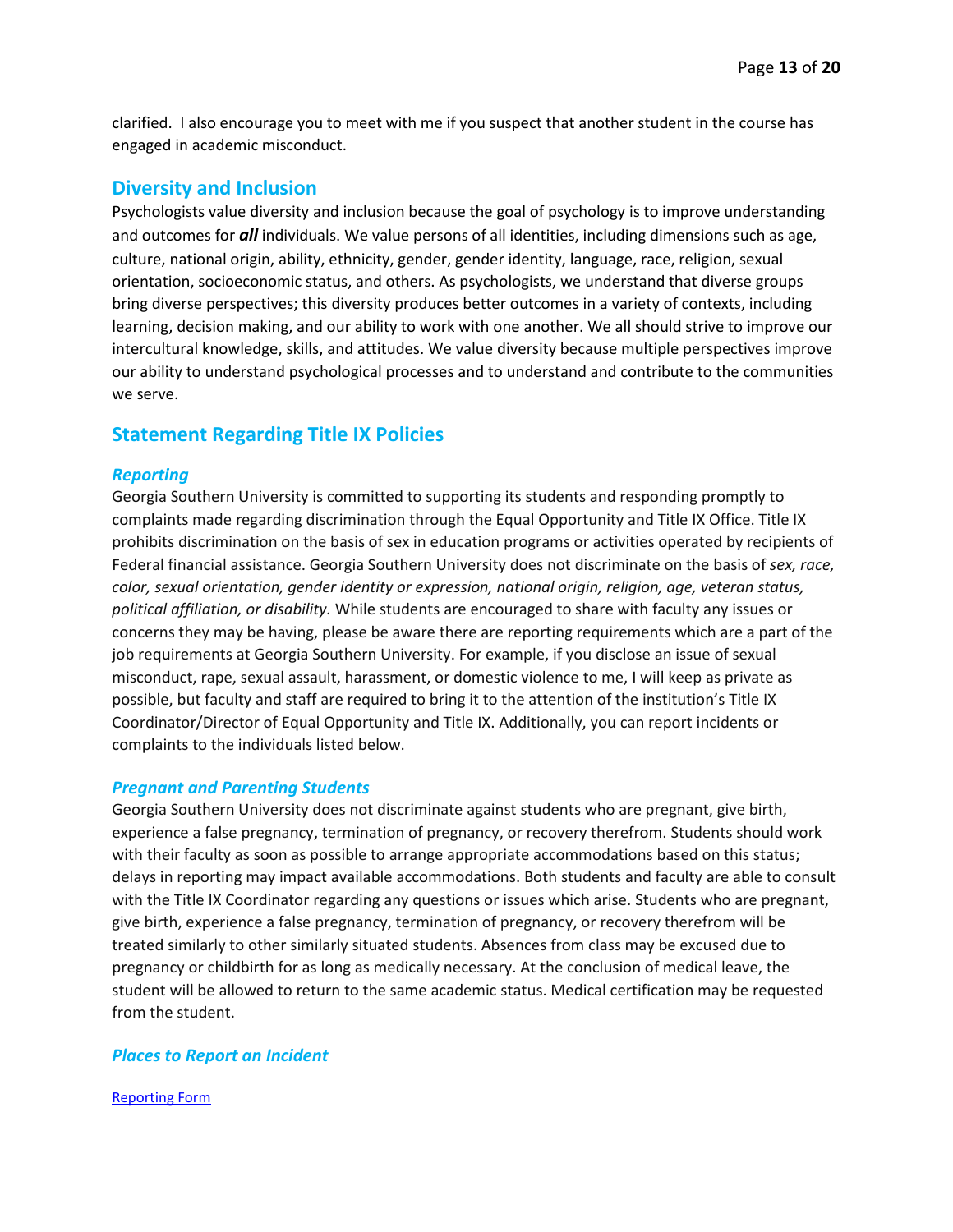clarified. I also encourage you to meet with me if you suspect that another student in the course has engaged in academic misconduct.

#### **Diversity and Inclusion**

Psychologists value diversity and inclusion because the goal of psychology is to improve understanding and outcomes for *all* individuals. We value persons of all identities, including dimensions such as age, culture, national origin, ability, ethnicity, gender, gender identity, language, race, religion, sexual orientation, socioeconomic status, and others. As psychologists, we understand that diverse groups bring diverse perspectives; this diversity produces better outcomes in a variety of contexts, including learning, decision making, and our ability to work with one another. We all should strive to improve our intercultural knowledge, skills, and attitudes. We value diversity because multiple perspectives improve our ability to understand psychological processes and to understand and contribute to the communities we serve.

### **Statement Regarding Title IX Policies**

#### *Reporting*

Georgia Southern University is committed to supporting its students and responding promptly to complaints made regarding discrimination through the Equal Opportunity and Title IX Office. Title IX prohibits discrimination on the basis of sex in education programs or activities operated by recipients of Federal financial assistance. Georgia Southern University does not discriminate on the basis of *sex, race, color, sexual orientation, gender identity or expression, national origin, religion, age, veteran status, political affiliation, or disability.* While students are encouraged to share with faculty any issues or concerns they may be having, please be aware there are reporting requirements which are a part of the job requirements at Georgia Southern University. For example, if you disclose an issue of sexual misconduct, rape, sexual assault, harassment, or domestic violence to me, I will keep as private as possible, but faculty and staff are required to bring it to the attention of the institution's Title IX Coordinator/Director of Equal Opportunity and Title IX. Additionally, you can report incidents or complaints to the individuals listed below.

#### *Pregnant and Parenting Students*

Georgia Southern University does not discriminate against students who are pregnant, give birth, experience a false pregnancy, termination of pregnancy, or recovery therefrom. Students should work with their faculty as soon as possible to arrange appropriate accommodations based on this status; delays in reporting may impact available accommodations. Both students and faculty are able to consult with the Title IX Coordinator regarding any questions or issues which arise. Students who are pregnant, give birth, experience a false pregnancy, termination of pregnancy, or recovery therefrom will be treated similarly to other similarly situated students. Absences from class may be excused due to pregnancy or childbirth for as long as medically necessary. At the conclusion of medical leave, the student will be allowed to return to the same academic status. Medical certification may be requested from the student.

#### *Places to Report an Incident*

[Reporting Form](http://president.georgiasouthern.edu/eeo-titleix/)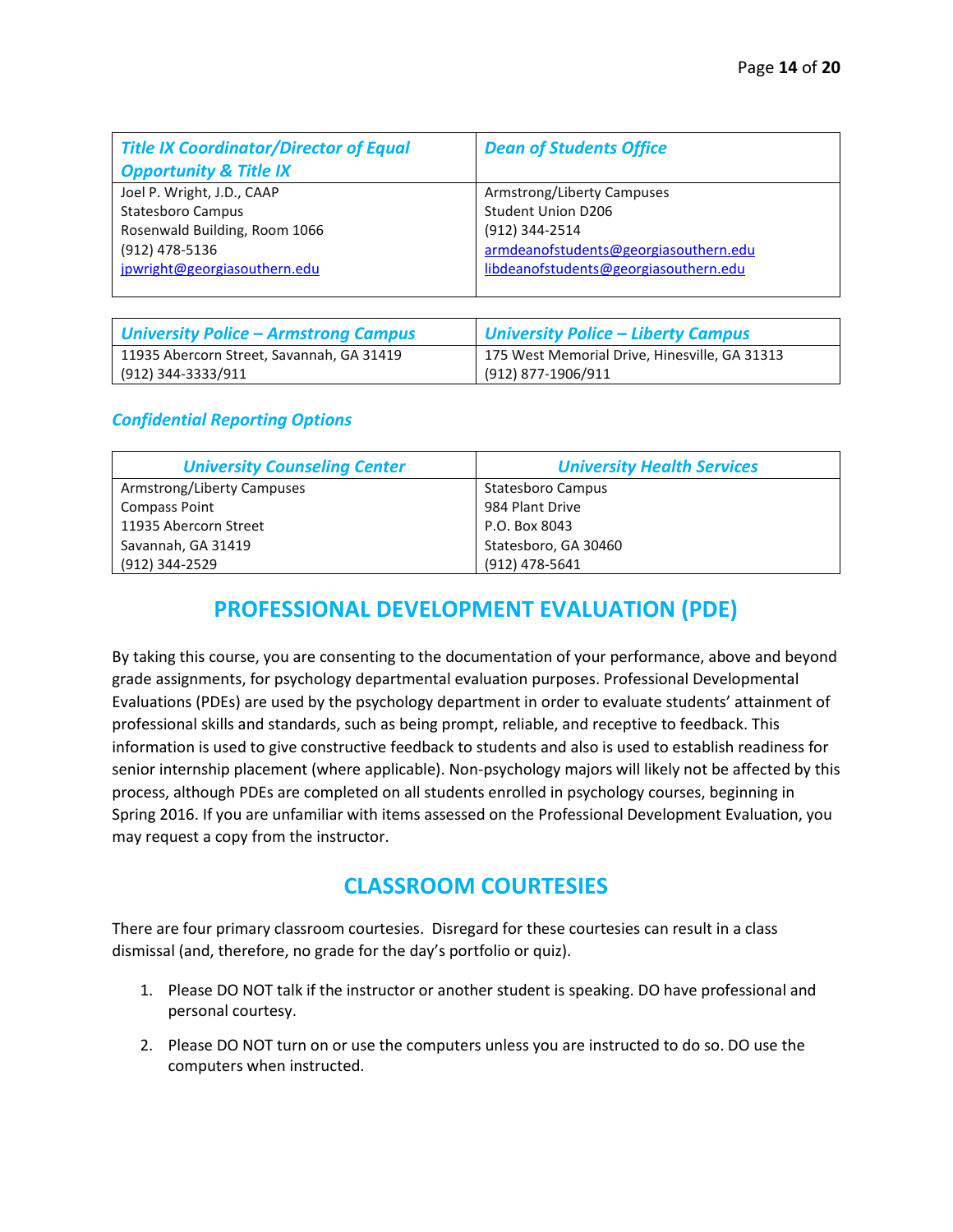| <b>Title IX Coordinator/Director of Equal</b><br><b>Opportunity &amp; Title IX</b> | <b>Dean of Students Office</b>        |
|------------------------------------------------------------------------------------|---------------------------------------|
| Joel P. Wright, J.D., CAAP                                                         | Armstrong/Liberty Campuses            |
| Statesboro Campus                                                                  | <b>Student Union D206</b>             |
| Rosenwald Building, Room 1066                                                      | (912) 344-2514                        |
| (912) 478-5136                                                                     | armdeanofstudents@georgiasouthern.edu |
| jpwright@georgiasouthern.edu                                                       | libdeanofstudents@georgiasouthern.edu |

| <b>University Police - Armstrong Campus</b> | <b>University Police - Liberty Campus</b>     |
|---------------------------------------------|-----------------------------------------------|
| 11935 Abercorn Street, Savannah, GA 31419   | 175 West Memorial Drive, Hinesville, GA 31313 |
| (912) 344-3333/911                          | (912) 877-1906/911                            |

#### *Confidential Reporting Options*

| <b>University Counseling Center</b> | <b>University Health Services</b> |
|-------------------------------------|-----------------------------------|
| Armstrong/Liberty Campuses          | Statesboro Campus                 |
| <b>Compass Point</b>                | 984 Plant Drive                   |
| 11935 Abercorn Street               | P.O. Box 8043                     |
| Savannah, GA 31419                  | Statesboro, GA 30460              |
| (912) 344-2529                      | (912) 478-5641                    |

## **PROFESSIONAL DEVELOPMENT EVALUATION (PDE)**

By taking this course, you are consenting to the documentation of your performance, above and beyond grade assignments, for psychology departmental evaluation purposes. Professional Developmental Evaluations (PDEs) are used by the psychology department in order to evaluate students' attainment of professional skills and standards, such as being prompt, reliable, and receptive to feedback. This information is used to give constructive feedback to students and also is used to establish readiness for senior internship placement (where applicable). Non-psychology majors will likely not be affected by this process, although PDEs are completed on all students enrolled in psychology courses, beginning in Spring 2016. If you are unfamiliar with items assessed on the Professional Development Evaluation, you may request a copy from the instructor.

## **CLASSROOM COURTESIES**

There are four primary classroom courtesies. Disregard for these courtesies can result in a class dismissal (and, therefore, no grade for the day's portfolio or quiz).

- 1. Please DO NOT talk if the instructor or another student is speaking. DO have professional and personal courtesy.
- 2. Please DO NOT turn on or use the computers unless you are instructed to do so. DO use the computers when instructed.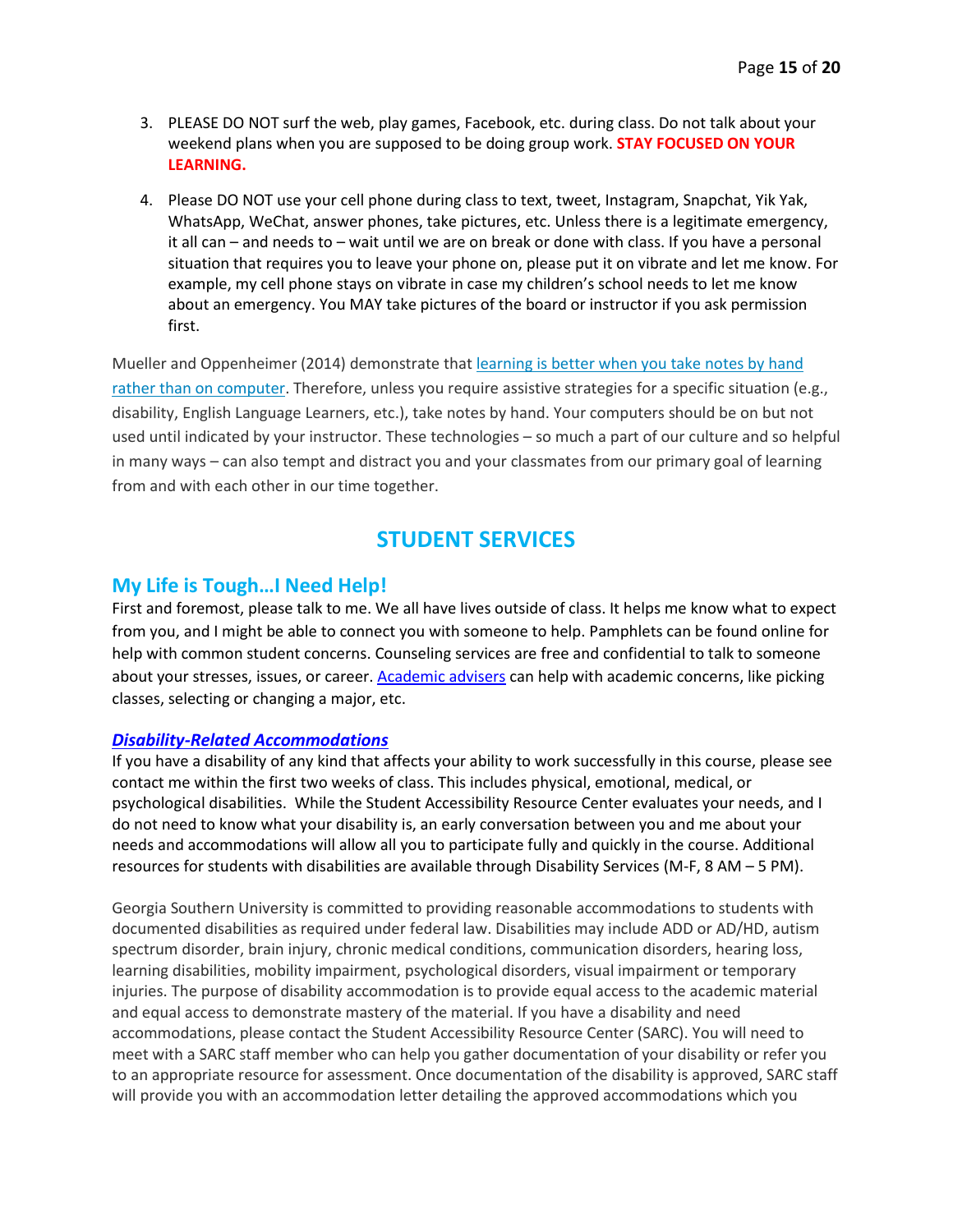- 3. PLEASE DO NOT surf the web, play games, Facebook, etc. during class. Do not talk about your weekend plans when you are supposed to be doing group work. **STAY FOCUSED ON YOUR LEARNING.**
- 4. Please DO NOT use your cell phone during class to text, tweet, Instagram, Snapchat, Yik Yak, WhatsApp, WeChat, answer phones, take pictures, etc. Unless there is a legitimate emergency, it all can – and needs to – wait until we are on break or done with class. If you have a personal situation that requires you to leave your phone on, please put it on vibrate and let me know. For example, my cell phone stays on vibrate in case my children's school needs to let me know about an emergency. You MAY take pictures of the board or instructor if you ask permission first.

Mueller and Oppenheimer (2014) demonstrate that [learning is better when you take notes by hand](http://www.psychologicalscience.org/index.php/news/releases/take-notes-by-hand-for-better-long-term-comprehension.html)  [rather than on computer.](http://www.psychologicalscience.org/index.php/news/releases/take-notes-by-hand-for-better-long-term-comprehension.html) Therefore, unless you require assistive strategies for a specific situation (e.g., disability, English Language Learners, etc.), take notes by hand. Your computers should be on but not used until indicated by your instructor. These technologies – so much a part of our culture and so helpful in many ways – can also tempt and distract you and your classmates from our primary goal of learning from and with each other in our time together.

## **STUDENT SERVICES**

#### **My Life is Tough…I Need Help!**

First and foremost, please talk to me. We all have lives outside of class. It helps me know what to expect from you, and I might be able to connect you with someone to help. Pamphlets can be found online for help with common student concerns. Counseling services are free and confidential to talk to someone about your stresses, issues, or career[. Academic advisers](https://cbss.georgiasouthern.edu/advisement/armstrong-advisors/) can help with academic concerns, like picking classes, selecting or changing a major, etc.

#### *[Disability-Related Accommodations](https://students.georgiasouthern.edu/sarc/)*

If you have a disability of any kind that affects your ability to work successfully in this course, please see contact me within the first two weeks of class. This includes physical, emotional, medical, or psychological disabilities. While the Student Accessibility Resource Center evaluates your needs, and I do not need to know what your disability is, an early conversation between you and me about your needs and accommodations will allow all you to participate fully and quickly in the course. Additional resources for students with disabilities are available through Disability Services (M-F, 8 AM – 5 PM).

Georgia Southern University is committed to providing reasonable accommodations to students with documented disabilities as required under federal law. Disabilities may include ADD or AD/HD, autism spectrum disorder, brain injury, chronic medical conditions, communication disorders, hearing loss, learning disabilities, mobility impairment, psychological disorders, visual impairment or temporary injuries. The purpose of disability accommodation is to provide equal access to the academic material and equal access to demonstrate mastery of the material. If you have a disability and need accommodations, please contact the Student Accessibility Resource Center (SARC). You will need to meet with a SARC staff member who can help you gather documentation of your disability or refer you to an appropriate resource for assessment. Once documentation of the disability is approved, SARC staff will provide you with an accommodation letter detailing the approved accommodations which you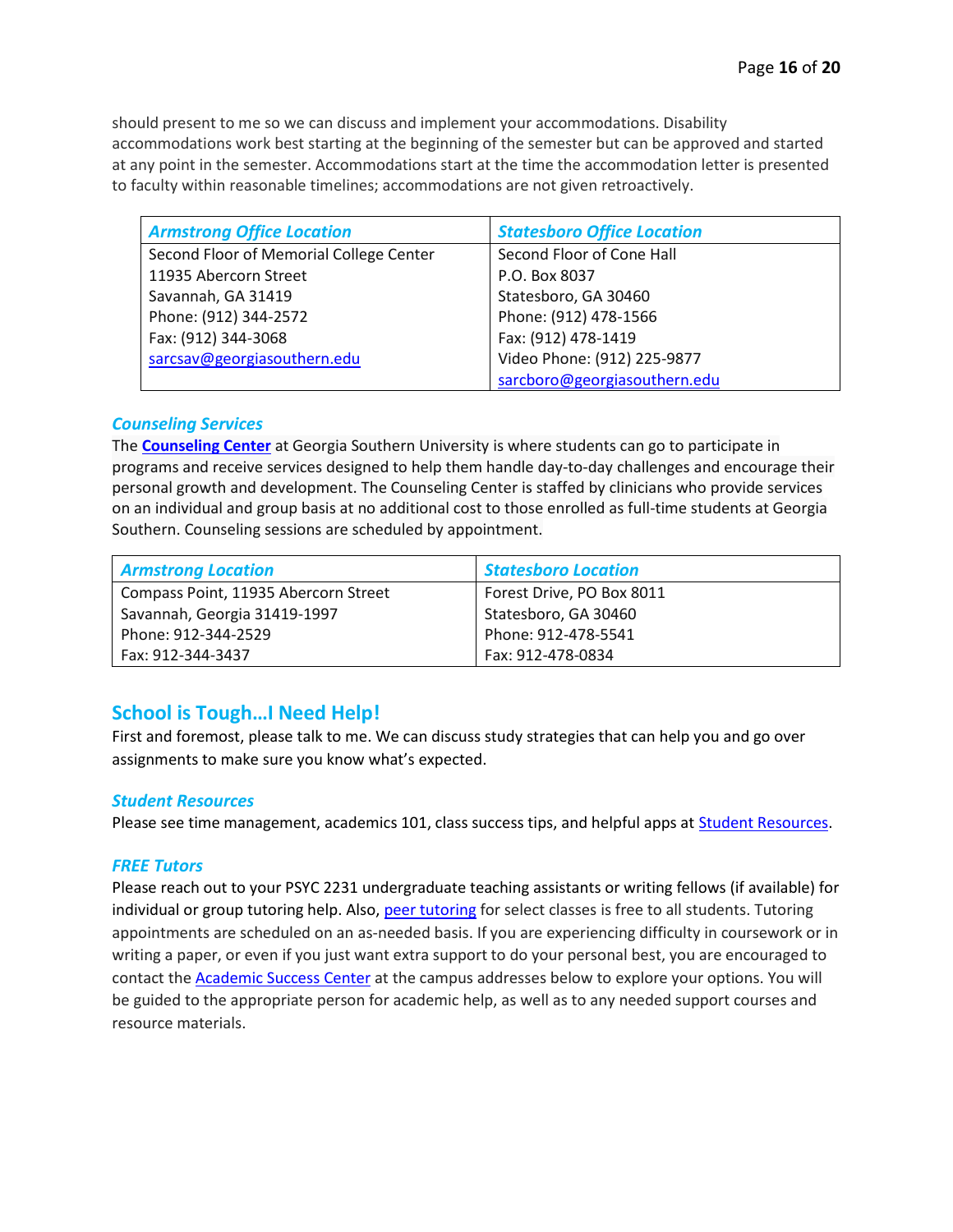should present to me so we can discuss and implement your accommodations. Disability accommodations work best starting at the beginning of the semester but can be approved and started at any point in the semester. Accommodations start at the time the accommodation letter is presented to faculty within reasonable timelines; accommodations are not given retroactively.

| <b>Armstrong Office Location</b>        | <b>Statesboro Office Location</b> |
|-----------------------------------------|-----------------------------------|
| Second Floor of Memorial College Center | Second Floor of Cone Hall         |
| 11935 Abercorn Street                   | P.O. Box 8037                     |
| Savannah, GA 31419                      | Statesboro, GA 30460              |
| Phone: (912) 344-2572                   | Phone: (912) 478-1566             |
| Fax: (912) 344-3068                     | Fax: (912) 478-1419               |
| sarcsav@georgiasouthern.edu             | Video Phone: (912) 225-9877       |
|                                         | sarcboro@georgiasouthern.edu      |

#### *Counseling Services*

The **[Counseling](https://students.georgiasouthern.edu/counseling/) Center** at Georgia Southern University is where students can go to participate in programs and receive services designed to help them handle day-to-day challenges and encourage their personal growth and development. The Counseling Center is staffed by clinicians who provide services on an individual and group basis at no additional cost to those enrolled as full-time students at Georgia Southern. Counseling sessions are scheduled by appointment.

| <b>Armstrong Location</b>            | <b>Statesboro Location</b> |
|--------------------------------------|----------------------------|
| Compass Point, 11935 Abercorn Street | Forest Drive, PO Box 8011  |
| Savannah, Georgia 31419-1997         | Statesboro, GA 30460       |
| Phone: 912-344-2529                  | Phone: 912-478-5541        |
| Fax: 912-344-3437                    | Fax: 912-478-0834          |

### **School is Tough…I Need Help!**

First and foremost, please talk to me. We can discuss study strategies that can help you and go over assignments to make sure you know what's expected.

#### *Student Resources*

Please see time management, academics 101, class success tips, and helpful apps at [Student Resources.](https://academics.georgiasouthern.edu/advisement/student/)

#### *FREE Tutors*

Please reach out to your PSYC 2231 undergraduate teaching assistants or writing fellows (if available) for individual or group tutoring help. Also[, peer tutoring](http://academics.georgiasouthern.edu/success/tutoring/) for select classes is free to all students. Tutoring appointments are scheduled on an as-needed basis. If you are experiencing difficulty in coursework or in writing a paper, or even if you just want extra support to do your personal best, you are encouraged to contact the **Academic Success Center** at the campus addresses below to explore your options. You will be guided to the appropriate person for academic help, as well as to any needed support courses and resource materials.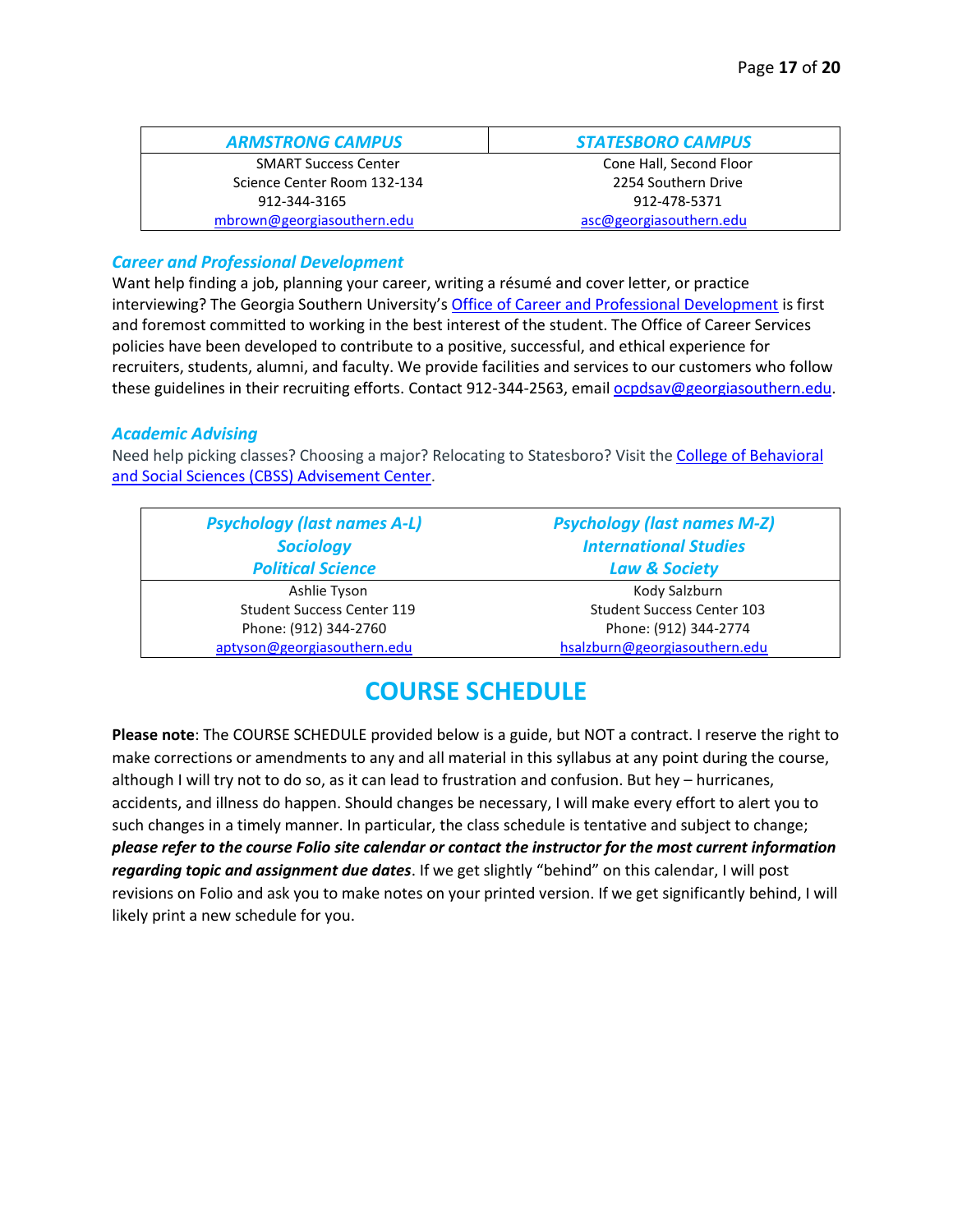| <b>ARMSTRONG CAMPUS</b>     | <b>STATESBORO CAMPUS</b> |
|-----------------------------|--------------------------|
| <b>SMART Success Center</b> | Cone Hall, Second Floor  |
| Science Center Room 132-134 | 2254 Southern Drive      |
| 912-344-3165                | 912-478-5371             |
| mbrown@georgiasouthern.edu  | asc@georgiasouthern.edu  |

#### *Career and Professional Development*

Want help finding a job, planning your career, writing a résumé and cover letter, or practice interviewing? The Georgia Southern University's [Office of Career and Professional Development](https://students.georgiasouthern.edu/career/our-office/contact-us/) is first and foremost committed to working in the best interest of the student. The Office of Career Services policies have been developed to contribute to a positive, successful, and ethical experience for recruiters, students, alumni, and faculty. We provide facilities and services to our customers who follow these guidelines in their recruiting efforts. Contact 912-344-2563, emai[l ocpdsav@georgiasouthern.edu.](mailto:ocpdsav@georgiasouthern.edu)

#### *Academic Advising*

Need help picking classes? Choosing a major? Relocating to Statesboro? Visit th[e College of Behavioral](https://cbss.georgiasouthern.edu/advisement/armstrong-advisors/)  [and Social Sciences \(CBSS\) Advisement Center.](https://cbss.georgiasouthern.edu/advisement/armstrong-advisors/)

| <b>Psychology (last names A-L)</b> | <b>Psychology (last names M-Z)</b> |
|------------------------------------|------------------------------------|
| <b>Sociology</b>                   | <b>International Studies</b>       |
| <b>Political Science</b>           | <b>Law &amp; Society</b>           |
| Ashlie Tyson                       | Kody Salzburn                      |
| <b>Student Success Center 119</b>  | <b>Student Success Center 103</b>  |
| Phone: (912) 344-2760              | Phone: (912) 344-2774              |
| aptyson@georgiasouthern.edu        | hsalzburn@georgiasouthern.edu      |

## **COURSE SCHEDULE**

**Please note**: The COURSE SCHEDULE provided below is a guide, but NOT a contract. I reserve the right to make corrections or amendments to any and all material in this syllabus at any point during the course, although I will try not to do so, as it can lead to frustration and confusion. But hey – hurricanes, accidents, and illness do happen. Should changes be necessary, I will make every effort to alert you to such changes in a timely manner. In particular, the class schedule is tentative and subject to change; *please refer to the course Folio site calendar or contact the instructor for the most current information regarding topic and assignment due dates*. If we get slightly "behind" on this calendar, I will post revisions on Folio and ask you to make notes on your printed version. If we get significantly behind, I will likely print a new schedule for you.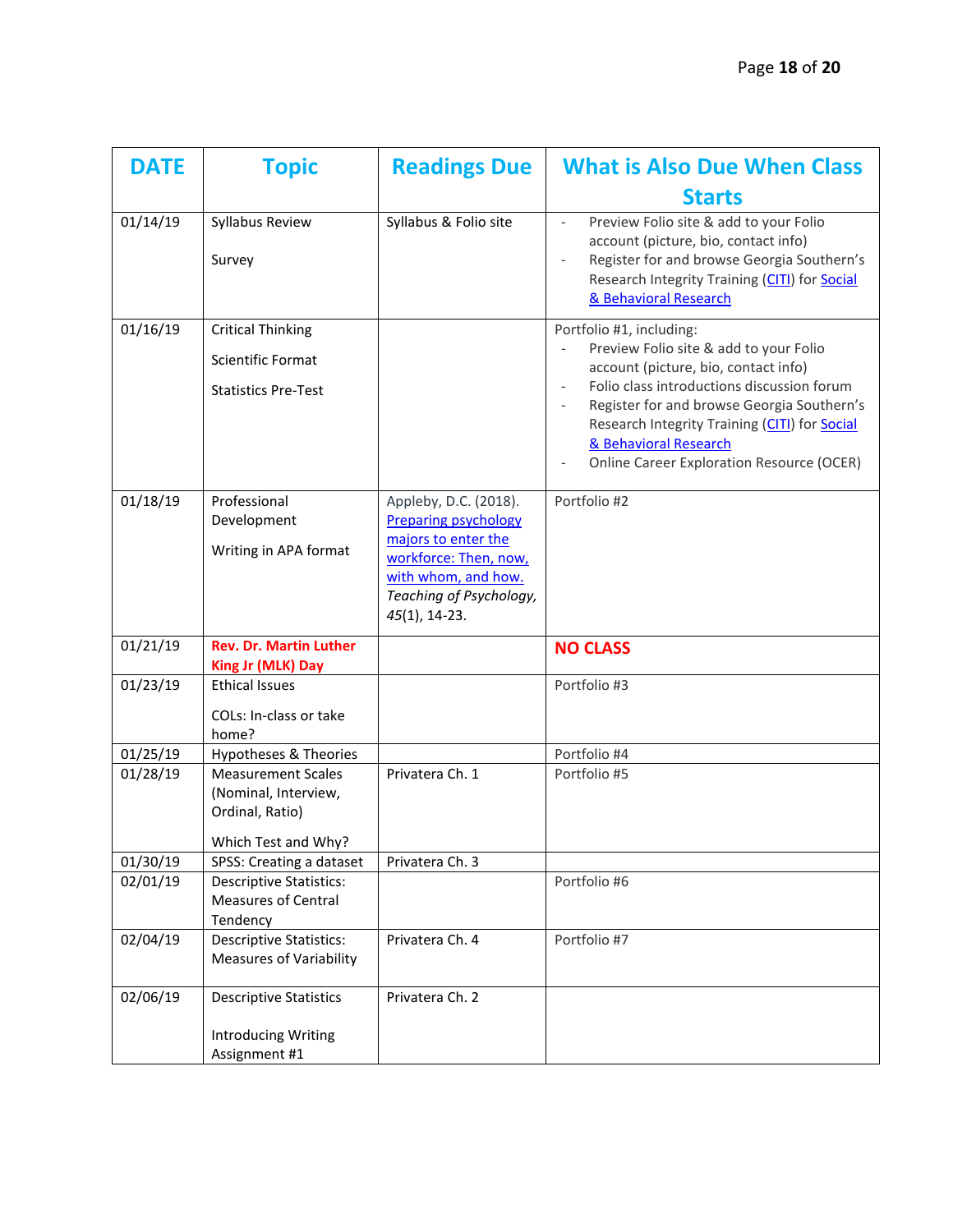| <b>DATE</b> | <b>Topic</b>                                                                                | <b>Readings Due</b>                                                                                                                                                        | <b>What is Also Due When Class</b>                                                                                                                                                                                                                                                                                                   |
|-------------|---------------------------------------------------------------------------------------------|----------------------------------------------------------------------------------------------------------------------------------------------------------------------------|--------------------------------------------------------------------------------------------------------------------------------------------------------------------------------------------------------------------------------------------------------------------------------------------------------------------------------------|
|             |                                                                                             |                                                                                                                                                                            | <b>Starts</b>                                                                                                                                                                                                                                                                                                                        |
| 01/14/19    | Syllabus Review<br>Survey                                                                   | Syllabus & Folio site                                                                                                                                                      | Preview Folio site & add to your Folio<br>account (picture, bio, contact info)<br>Register for and browse Georgia Southern's<br>Research Integrity Training (CITI) for Social<br>& Behavioral Research                                                                                                                               |
| 01/16/19    | <b>Critical Thinking</b><br><b>Scientific Format</b><br><b>Statistics Pre-Test</b>          |                                                                                                                                                                            | Portfolio #1, including:<br>Preview Folio site & add to your Folio<br>account (picture, bio, contact info)<br>Folio class introductions discussion forum<br>Register for and browse Georgia Southern's<br>Research Integrity Training (CITI) for Social<br>& Behavioral Research<br><b>Online Career Exploration Resource (OCER)</b> |
| 01/18/19    | Professional<br>Development<br>Writing in APA format                                        | Appleby, D.C. (2018).<br><b>Preparing psychology</b><br>majors to enter the<br>workforce: Then, now,<br>with whom, and how.<br>Teaching of Psychology,<br>$45(1)$ , 14-23. | Portfolio #2                                                                                                                                                                                                                                                                                                                         |
| 01/21/19    | <b>Rev. Dr. Martin Luther</b><br><b>King Jr (MLK) Day</b>                                   |                                                                                                                                                                            | <b>NO CLASS</b>                                                                                                                                                                                                                                                                                                                      |
| 01/23/19    | <b>Ethical Issues</b><br>COLs: In-class or take<br>home?                                    |                                                                                                                                                                            | Portfolio #3                                                                                                                                                                                                                                                                                                                         |
| 01/25/19    | Hypotheses & Theories                                                                       |                                                                                                                                                                            | Portfolio #4                                                                                                                                                                                                                                                                                                                         |
| 01/28/19    | <b>Measurement Scales</b><br>(Nominal, Interview,<br>Ordinal, Ratio)<br>Which Test and Why? | Privatera Ch. 1                                                                                                                                                            | Portfolio #5                                                                                                                                                                                                                                                                                                                         |
| 01/30/19    | SPSS: Creating a dataset                                                                    | Privatera Ch. 3                                                                                                                                                            |                                                                                                                                                                                                                                                                                                                                      |
| 02/01/19    | <b>Descriptive Statistics:</b><br><b>Measures of Central</b><br>Tendency                    |                                                                                                                                                                            | Portfolio #6                                                                                                                                                                                                                                                                                                                         |
| 02/04/19    | <b>Descriptive Statistics:</b><br><b>Measures of Variability</b>                            | Privatera Ch. 4                                                                                                                                                            | Portfolio #7                                                                                                                                                                                                                                                                                                                         |
| 02/06/19    | <b>Descriptive Statistics</b><br><b>Introducing Writing</b><br>Assignment #1                | Privatera Ch. 2                                                                                                                                                            |                                                                                                                                                                                                                                                                                                                                      |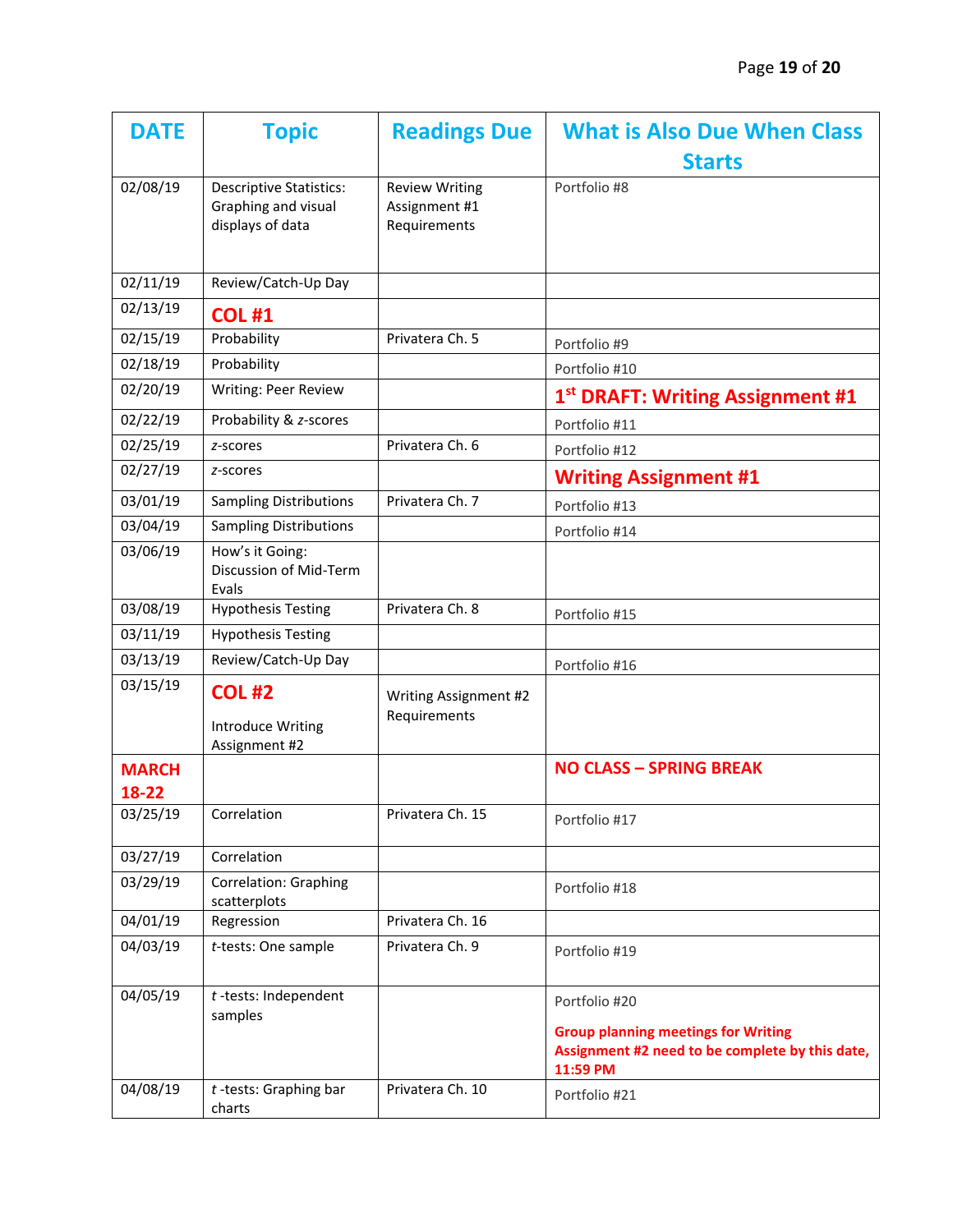| <b>DATE</b>           | <b>Topic</b>                                                              | <b>Readings Due</b>                                    | <b>What is Also Due When Class</b><br><b>Starts</b>                                                       |
|-----------------------|---------------------------------------------------------------------------|--------------------------------------------------------|-----------------------------------------------------------------------------------------------------------|
| 02/08/19              | <b>Descriptive Statistics:</b><br>Graphing and visual<br>displays of data | <b>Review Writing</b><br>Assignment #1<br>Requirements | Portfolio #8                                                                                              |
| 02/11/19              | Review/Catch-Up Day                                                       |                                                        |                                                                                                           |
| 02/13/19              | <b>COL #1</b>                                                             |                                                        |                                                                                                           |
| 02/15/19              | Probability                                                               | Privatera Ch. 5                                        | Portfolio #9                                                                                              |
| 02/18/19              | Probability                                                               |                                                        | Portfolio #10                                                                                             |
| 02/20/19              | Writing: Peer Review                                                      |                                                        | 1 <sup>st</sup> DRAFT: Writing Assignment #1                                                              |
| 02/22/19              | Probability & z-scores                                                    |                                                        | Portfolio #11                                                                                             |
| 02/25/19              | z-scores                                                                  | Privatera Ch. 6                                        | Portfolio #12                                                                                             |
| 02/27/19              | z-scores                                                                  |                                                        | <b>Writing Assignment #1</b>                                                                              |
| 03/01/19              | <b>Sampling Distributions</b>                                             | Privatera Ch. 7                                        | Portfolio #13                                                                                             |
| 03/04/19              | <b>Sampling Distributions</b>                                             |                                                        | Portfolio #14                                                                                             |
| 03/06/19              | How's it Going:<br>Discussion of Mid-Term<br>Evals                        |                                                        |                                                                                                           |
| 03/08/19              | <b>Hypothesis Testing</b>                                                 | Privatera Ch. 8                                        | Portfolio #15                                                                                             |
| 03/11/19              | <b>Hypothesis Testing</b>                                                 |                                                        |                                                                                                           |
| 03/13/19              | Review/Catch-Up Day                                                       |                                                        | Portfolio #16                                                                                             |
| 03/15/19              | <b>COL #2</b><br><b>Introduce Writing</b><br>Assignment #2                | Writing Assignment #2<br>Requirements                  |                                                                                                           |
| <b>MARCH</b><br>18-22 |                                                                           |                                                        | <b>NO CLASS - SPRING BREAK</b>                                                                            |
| 03/25/19              | Correlation                                                               | Privatera Ch. 15                                       | Portfolio #17                                                                                             |
| 03/27/19              | Correlation                                                               |                                                        |                                                                                                           |
| 03/29/19              | <b>Correlation: Graphing</b><br>scatterplots                              |                                                        | Portfolio #18                                                                                             |
| 04/01/19              | Regression                                                                | Privatera Ch. 16                                       |                                                                                                           |
| 04/03/19              | t-tests: One sample                                                       | Privatera Ch. 9                                        | Portfolio #19                                                                                             |
| 04/05/19              | $t$ -tests: Independent<br>samples                                        |                                                        | Portfolio #20                                                                                             |
|                       |                                                                           |                                                        | <b>Group planning meetings for Writing</b><br>Assignment #2 need to be complete by this date,<br>11:59 PM |
| 04/08/19              | $t$ -tests: Graphing bar<br>charts                                        | Privatera Ch. 10                                       | Portfolio #21                                                                                             |